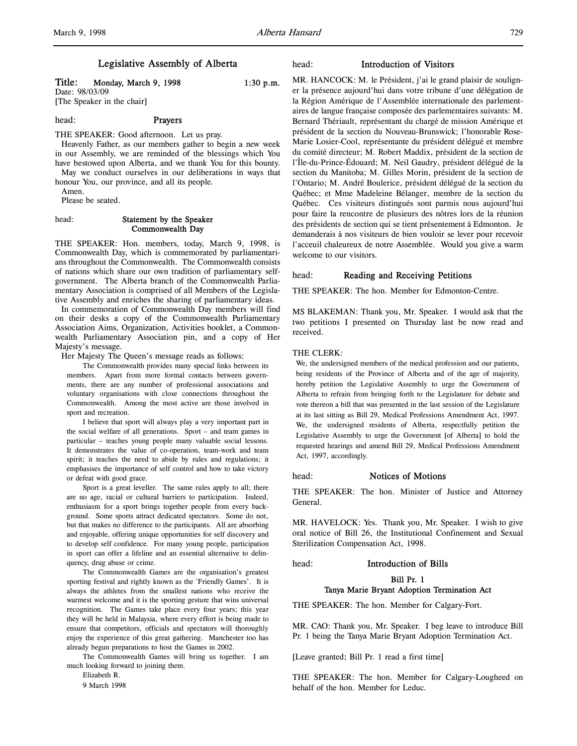# Legislative Assembly of Alberta

Title: Monday, March 9, 1998 1:30 p.m. Date: 98/03/09

[The Speaker in the chair]

head: Prayers

THE SPEAKER: Good afternoon. Let us pray.

Heavenly Father, as our members gather to begin a new week in our Assembly, we are reminded of the blessings which You have bestowed upon Alberta, and we thank You for this bounty. May we conduct ourselves in our deliberations in ways that

honour You, our province, and all its people. Amen.

Please be seated.

# head: Statement by the Speaker Commonwealth Day

THE SPEAKER: Hon. members, today, March 9, 1998, is Commonwealth Day, which is commemorated by parliamentarians throughout the Commonwealth. The Commonwealth consists of nations which share our own tradition of parliamentary selfgovernment. The Alberta branch of the Commonwealth Parliamentary Association is comprised of all Members of the Legislative Assembly and enriches the sharing of parliamentary ideas.

In commemoration of Commonwealth Day members will find on their desks a copy of the Commonwealth Parliamentary Association Aims, Organization, Activities booklet, a Commonwealth Parliamentary Association pin, and a copy of Her Majesty's message.

Her Majesty The Queen's message reads as follows:

The Commonwealth provides many special links between its members. Apart from more formal contacts between governments, there are any number of professional associations and voluntary organisations with close connections throughout the Commonwealth. Among the most active are those involved in sport and recreation.

I believe that sport will always play a very important part in the social welfare of all generations. Sport – and team games in particular – teaches young people many valuable social lessons. It demonstrates the value of co-operation, team-work and team spirit; it teaches the need to abide by rules and regulations; it emphasises the importance of self control and how to take victory or defeat with good grace.

Sport is a great leveller. The same rules apply to all; there are no age, racial or cultural barriers to participation. Indeed, enthusiasm for a sport brings together people from every background. Some sports attract dedicated spectators. Some do not, but that makes no difference to the participants. All are absorbing and enjoyable, offering unique opportunities for self discovery and to develop self confidence. For many young people, participation in sport can offer a lifeline and an essential alternative to delinquency, drug abuse or crime.

The Commonwealth Games are the organisation's greatest sporting festival and rightly known as the `Friendly Games'. It is always the athletes from the smallest nations who receive the warmest welcome and it is the sporting gesture that wins universal recognition. The Games take place every four years; this year they will be held in Malaysia, where every effort is being made to ensure that competitors, officials and spectators will thoroughly enjoy the experience of this great gathering. Manchester too has already begun preparations to host the Games in 2002.

The Commonwealth Games will bring us together. I am much looking forward to joining them.

Elizabeth R.

9 March 1998

# head: Introduction of Visitors

MR. HANCOCK: M. le Président, j'ai le grand plaisir de souligner la présence aujourd'hui dans votre tribune d'une délégation de la Région Amérique de l'Assemblée internationale des parlementaires de langue française composée des parlementaires suivants: M. Bernard Thériault, représentant du chargé de mission Amérique et président de la section du Nouveau-Brunswick; l'honorable Rose-Marie Losier-Cool, représentante du président délégué et membre du comité directeur; M. Robert Maddix, président de la section de l'Île-du-Prince-Édouard; M. Neil Gaudry, président délégué de la section du Manitoba; M. Gilles Morin, président de la section de l'Ontario; M. André Boulerice, président délégué de la section du Québec; et Mme Madeleine Bélanger, membre de la section du Québec. Ces visiteurs distingués sont parmis nous aujourd'hui pour faire la rencontre de plusieurs des nôtres lors de la réunion des présidents de section qui se tient présentement à Edmonton. Je demanderais à nos visiteurs de bien vouloir se lever pour recevoir l'acceuil chaleureux de notre Assemblée. Would you give a warm welcome to our visitors.

# head: Reading and Receiving Petitions

THE SPEAKER: The hon. Member for Edmonton-Centre.

MS BLAKEMAN: Thank you, Mr. Speaker. I would ask that the two petitions I presented on Thursday last be now read and received.

# THE CLERK.

We, the undersigned members of the medical profession and our patients, being residents of the Province of Alberta and of the age of majority, hereby petition the Legislative Assembly to urge the Government of Alberta to refrain from bringing forth to the Legislature for debate and vote thereon a bill that was presented in the last session of the Legislature at its last sitting as Bill 29, Medical Professions Amendment Act, 1997. We, the undersigned residents of Alberta, respectfully petition the Legislative Assembly to urge the Government [of Alberta] to hold the requested hearings and amend Bill 29, Medical Professions Amendment Act, 1997, accordingly.

# head: Notices of Motions

THE SPEAKER: The hon. Minister of Justice and Attorney General.

MR. HAVELOCK: Yes. Thank you, Mr. Speaker. I wish to give oral notice of Bill 26, the Institutional Confinement and Sexual Sterilization Compensation Act, 1998.

#### head: Introduction of Bills

# Bill Pr. 1 Tanya Marie Bryant Adoption Termination Act

THE SPEAKER: The hon. Member for Calgary-Fort.

MR. CAO: Thank you, Mr. Speaker. I beg leave to introduce Bill Pr. 1 being the Tanya Marie Bryant Adoption Termination Act.

[Leave granted; Bill Pr. 1 read a first time]

THE SPEAKER: The hon. Member for Calgary-Lougheed on behalf of the hon. Member for Leduc.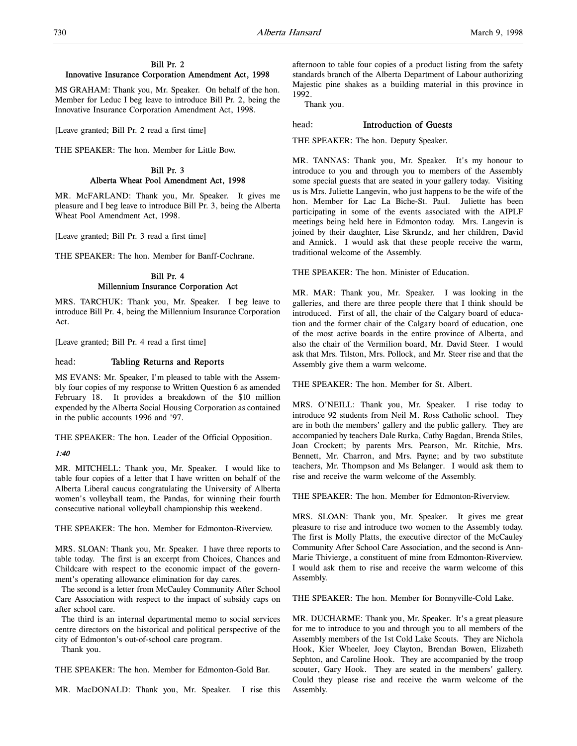# Bill Pr. 2 Innovative Insurance Corporation Amendment Act, 1998

MS GRAHAM: Thank you, Mr. Speaker. On behalf of the hon. Member for Leduc I beg leave to introduce Bill Pr. 2, being the Innovative Insurance Corporation Amendment Act, 1998.

[Leave granted; Bill Pr. 2 read a first time]

THE SPEAKER: The hon. Member for Little Bow.

# Bill Pr. 3 Alberta Wheat Pool Amendment Act, 1998

MR. McFARLAND: Thank you, Mr. Speaker. It gives me pleasure and I beg leave to introduce Bill Pr. 3, being the Alberta Wheat Pool Amendment Act, 1998.

[Leave granted; Bill Pr. 3 read a first time]

THE SPEAKER: The hon. Member for Banff-Cochrane.

# Bill Pr. 4 Millennium Insurance Corporation Act

MRS. TARCHUK: Thank you, Mr. Speaker. I beg leave to introduce Bill Pr. 4, being the Millennium Insurance Corporation Act.

[Leave granted; Bill Pr. 4 read a first time]

# head: Tabling Returns and Reports

MS EVANS: Mr. Speaker, I'm pleased to table with the Assembly four copies of my response to Written Question 6 as amended February 18. It provides a breakdown of the \$10 million expended by the Alberta Social Housing Corporation as contained in the public accounts 1996 and '97.

THE SPEAKER: The hon. Leader of the Official Opposition.

# 1:40

MR. MITCHELL: Thank you, Mr. Speaker. I would like to table four copies of a letter that I have written on behalf of the Alberta Liberal caucus congratulating the University of Alberta women's volleyball team, the Pandas, for winning their fourth consecutive national volleyball championship this weekend.

THE SPEAKER: The hon. Member for Edmonton-Riverview.

MRS. SLOAN: Thank you, Mr. Speaker. I have three reports to table today. The first is an excerpt from Choices, Chances and Childcare with respect to the economic impact of the government's operating allowance elimination for day cares.

The second is a letter from McCauley Community After School Care Association with respect to the impact of subsidy caps on after school care.

The third is an internal departmental memo to social services centre directors on the historical and political perspective of the city of Edmonton's out-of-school care program.

Thank you.

THE SPEAKER: The hon. Member for Edmonton-Gold Bar.

MR. MacDONALD: Thank you, Mr. Speaker. I rise this

afternoon to table four copies of a product listing from the safety standards branch of the Alberta Department of Labour authorizing Majestic pine shakes as a building material in this province in 1992.

Thank you.

# head: Introduction of Guests

THE SPEAKER: The hon. Deputy Speaker.

MR. TANNAS: Thank you, Mr. Speaker. It's my honour to introduce to you and through you to members of the Assembly some special guests that are seated in your gallery today. Visiting us is Mrs. Juliette Langevin, who just happens to be the wife of the hon. Member for Lac La Biche-St. Paul. Juliette has been participating in some of the events associated with the AIPLF meetings being held here in Edmonton today. Mrs. Langevin is joined by their daughter, Lise Skrundz, and her children, David and Annick. I would ask that these people receive the warm, traditional welcome of the Assembly.

THE SPEAKER: The hon. Minister of Education.

MR. MAR: Thank you, Mr. Speaker. I was looking in the galleries, and there are three people there that I think should be introduced. First of all, the chair of the Calgary board of education and the former chair of the Calgary board of education, one of the most active boards in the entire province of Alberta, and also the chair of the Vermilion board, Mr. David Steer. I would ask that Mrs. Tilston, Mrs. Pollock, and Mr. Steer rise and that the Assembly give them a warm welcome.

THE SPEAKER: The hon. Member for St. Albert.

MRS. O'NEILL: Thank you, Mr. Speaker. I rise today to introduce 92 students from Neil M. Ross Catholic school. They are in both the members' gallery and the public gallery. They are accompanied by teachers Dale Rurka, Cathy Bagdan, Brenda Stiles, Joan Crockett; by parents Mrs. Pearson, Mr. Ritchie, Mrs. Bennett, Mr. Charron, and Mrs. Payne; and by two substitute teachers, Mr. Thompson and Ms Belanger. I would ask them to rise and receive the warm welcome of the Assembly.

THE SPEAKER: The hon. Member for Edmonton-Riverview.

MRS. SLOAN: Thank you, Mr. Speaker. It gives me great pleasure to rise and introduce two women to the Assembly today. The first is Molly Platts, the executive director of the McCauley Community After School Care Association, and the second is Ann-Marie Thivierge, a constituent of mine from Edmonton-Riverview. I would ask them to rise and receive the warm welcome of this Assembly.

THE SPEAKER: The hon. Member for Bonnyville-Cold Lake.

MR. DUCHARME: Thank you, Mr. Speaker. It's a great pleasure for me to introduce to you and through you to all members of the Assembly members of the 1st Cold Lake Scouts. They are Nichola Hook, Kier Wheeler, Joey Clayton, Brendan Bowen, Elizabeth Sephton, and Caroline Hook. They are accompanied by the troop scouter, Gary Hook. They are seated in the members' gallery. Could they please rise and receive the warm welcome of the Assembly.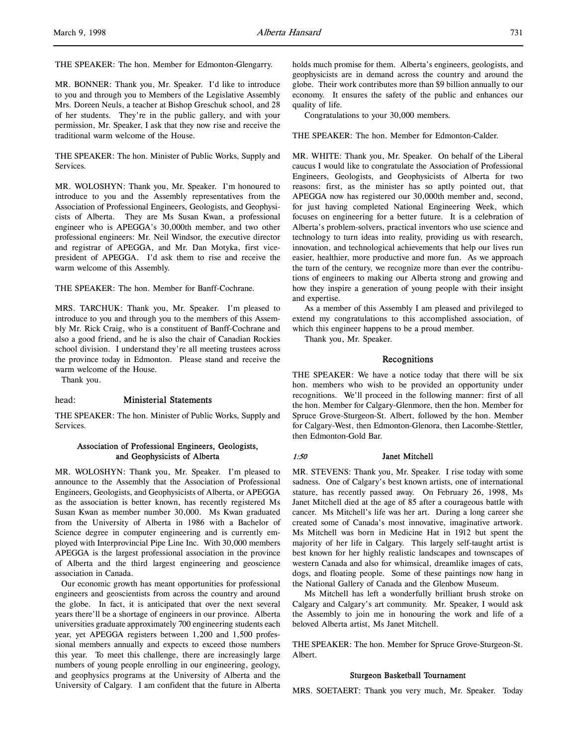THE SPEAKER: The hon. Member for Edmonton-Glengarry.

MR. BONNER: Thank you, Mr. Speaker. I'd like to introduce to you and through you to Members of the Legislative Assembly Mrs. Doreen Neuls, a teacher at Bishop Greschuk school, and 28 of her students. They're in the public gallery, and with your permission, Mr. Speaker, I ask that they now rise and receive the traditional warm welcome of the House.

THE SPEAKER: The hon. Minister of Public Works, Supply and Services.

MR. WOLOSHYN: Thank you, Mr. Speaker. I'm honoured to introduce to you and the Assembly representatives from the Association of Professional Engineers, Geologists, and Geophysicists of Alberta. They are Ms Susan Kwan, a professional engineer who is APEGGA's 30,000th member, and two other professional engineers: Mr. Neil Windsor, the executive director and registrar of APEGGA, and Mr. Dan Motyka, first vicepresident of APEGGA. I'd ask them to rise and receive the warm welcome of this Assembly.

THE SPEAKER: The hon. Member for Banff-Cochrane.

MRS. TARCHUK: Thank you, Mr. Speaker. I'm pleased to introduce to you and through you to the members of this Assembly Mr. Rick Craig, who is a constituent of Banff-Cochrane and also a good friend, and he is also the chair of Canadian Rockies school division. I understand they're all meeting trustees across the province today in Edmonton. Please stand and receive the warm welcome of the House.

Thank you.

#### head: Ministerial Statements

THE SPEAKER: The hon. Minister of Public Works, Supply and Services.

# Association of Professional Engineers, Geologists, and Geophysicists of Alberta

MR. WOLOSHYN: Thank you, Mr. Speaker. I'm pleased to announce to the Assembly that the Association of Professional Engineers, Geologists, and Geophysicists of Alberta, or APEGGA as the association is better known, has recently registered Ms Susan Kwan as member number 30,000. Ms Kwan graduated from the University of Alberta in 1986 with a Bachelor of Science degree in computer engineering and is currently employed with Interprovincial Pipe Line Inc. With 30,000 members APEGGA is the largest professional association in the province of Alberta and the third largest engineering and geoscience association in Canada.

Our economic growth has meant opportunities for professional engineers and geoscientists from across the country and around the globe. In fact, it is anticipated that over the next several years there'll be a shortage of engineers in our province. Alberta universities graduate approximately 700 engineering students each year, yet APEGGA registers between 1,200 and 1,500 professional members annually and expects to exceed those numbers this year. To meet this challenge, there are increasingly large numbers of young people enrolling in our engineering, geology, and geophysics programs at the University of Alberta and the University of Calgary. I am confident that the future in Alberta

holds much promise for them. Alberta's engineers, geologists, and geophysicists are in demand across the country and around the globe. Their work contributes more than \$9 billion annually to our economy. It ensures the safety of the public and enhances our quality of life.

Congratulations to your 30,000 members.

THE SPEAKER: The hon. Member for Edmonton-Calder.

MR. WHITE: Thank you, Mr. Speaker. On behalf of the Liberal caucus I would like to congratulate the Association of Professional Engineers, Geologists, and Geophysicists of Alberta for two reasons: first, as the minister has so aptly pointed out, that APEGGA now has registered our 30,000th member and, second, for just having completed National Engineering Week, which focuses on engineering for a better future. It is a celebration of Alberta's problem-solvers, practical inventors who use science and technology to turn ideas into reality, providing us with research, innovation, and technological achievements that help our lives run easier, healthier, more productive and more fun. As we approach the turn of the century, we recognize more than ever the contributions of engineers to making our Alberta strong and growing and how they inspire a generation of young people with their insight and expertise.

As a member of this Assembly I am pleased and privileged to extend my congratulations to this accomplished association, of which this engineer happens to be a proud member.

Thank you, Mr. Speaker.

#### Recognitions

THE SPEAKER: We have a notice today that there will be six hon. members who wish to be provided an opportunity under recognitions. We'll proceed in the following manner: first of all the hon. Member for Calgary-Glenmore, then the hon. Member for Spruce Grove-Sturgeon-St. Albert, followed by the hon. Member for Calgary-West, then Edmonton-Glenora, then Lacombe-Stettler, then Edmonton-Gold Bar.

#### 1:50 Janet Mitchell

MR. STEVENS: Thank you, Mr. Speaker. I rise today with some sadness. One of Calgary's best known artists, one of international stature, has recently passed away. On February 26, 1998, Ms Janet Mitchell died at the age of 85 after a courageous battle with cancer. Ms Mitchell's life was her art. During a long career she created some of Canada's most innovative, imaginative artwork. Ms Mitchell was born in Medicine Hat in 1912 but spent the majority of her life in Calgary. This largely self-taught artist is best known for her highly realistic landscapes and townscapes of western Canada and also for whimsical, dreamlike images of cats, dogs, and floating people. Some of these paintings now hang in the National Gallery of Canada and the Glenbow Museum.

Ms Mitchell has left a wonderfully brilliant brush stroke on Calgary and Calgary's art community. Mr. Speaker, I would ask the Assembly to join me in honouring the work and life of a beloved Alberta artist, Ms Janet Mitchell.

THE SPEAKER: The hon. Member for Spruce Grove-Sturgeon-St. Albert.

#### Sturgeon Basketball Tournament

MRS. SOETAERT: Thank you very much, Mr. Speaker. Today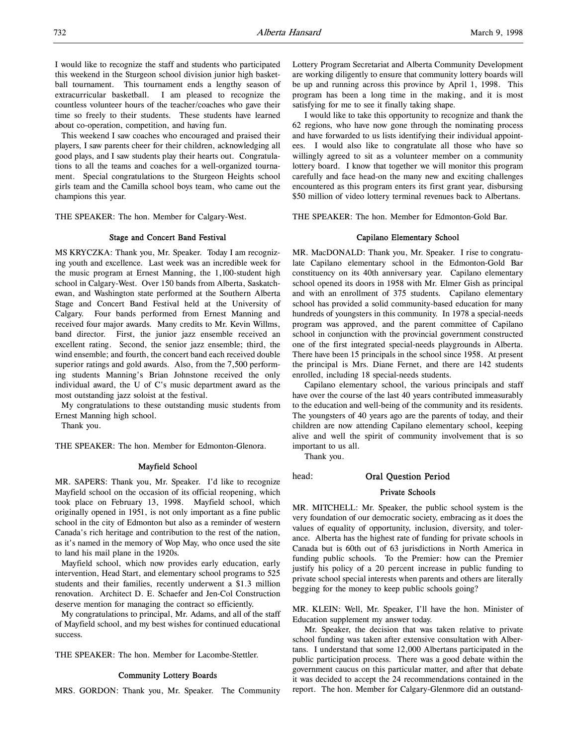I would like to recognize the staff and students who participated this weekend in the Sturgeon school division junior high basketball tournament. This tournament ends a lengthy season of extracurricular basketball. I am pleased to recognize the countless volunteer hours of the teacher/coaches who gave their time so freely to their students. These students have learned about co-operation, competition, and having fun.

This weekend I saw coaches who encouraged and praised their players, I saw parents cheer for their children, acknowledging all good plays, and I saw students play their hearts out. Congratulations to all the teams and coaches for a well-organized tournament. Special congratulations to the Sturgeon Heights school girls team and the Camilla school boys team, who came out the champions this year.

THE SPEAKER: The hon. Member for Calgary-West.

# Stage and Concert Band Festival

MS KRYCZKA: Thank you, Mr. Speaker. Today I am recognizing youth and excellence. Last week was an incredible week for the music program at Ernest Manning, the 1,100-student high school in Calgary-West. Over 150 bands from Alberta, Saskatchewan, and Washington state performed at the Southern Alberta Stage and Concert Band Festival held at the University of Calgary. Four bands performed from Ernest Manning and received four major awards. Many credits to Mr. Kevin Willms, band director. First, the junior jazz ensemble received an excellent rating. Second, the senior jazz ensemble; third, the wind ensemble; and fourth, the concert band each received double superior ratings and gold awards. Also, from the 7,500 performing students Manning's Brian Johnstone received the only individual award, the U of C's music department award as the most outstanding jazz soloist at the festival.

My congratulations to these outstanding music students from Ernest Manning high school.

Thank you.

THE SPEAKER: The hon. Member for Edmonton-Glenora.

# Mayfield School

MR. SAPERS: Thank you, Mr. Speaker. I'd like to recognize Mayfield school on the occasion of its official reopening, which took place on February 13, 1998. Mayfield school, which originally opened in 1951, is not only important as a fine public school in the city of Edmonton but also as a reminder of western Canada's rich heritage and contribution to the rest of the nation, as it's named in the memory of Wop May, who once used the site to land his mail plane in the 1920s.

Mayfield school, which now provides early education, early intervention, Head Start, and elementary school programs to 525 students and their families, recently underwent a \$1.3 million renovation. Architect D. E. Schaefer and Jen-Col Construction deserve mention for managing the contract so efficiently.

My congratulations to principal, Mr. Adams, and all of the staff of Mayfield school, and my best wishes for continued educational success.

THE SPEAKER: The hon. Member for Lacombe-Stettler.

#### Community Lottery Boards

MRS. GORDON: Thank you, Mr. Speaker. The Community

Lottery Program Secretariat and Alberta Community Development are working diligently to ensure that community lottery boards will be up and running across this province by April 1, 1998. This program has been a long time in the making, and it is most satisfying for me to see it finally taking shape.

I would like to take this opportunity to recognize and thank the 62 regions, who have now gone through the nominating process and have forwarded to us lists identifying their individual appointees. I would also like to congratulate all those who have so willingly agreed to sit as a volunteer member on a community lottery board. I know that together we will monitor this program carefully and face head-on the many new and exciting challenges encountered as this program enters its first grant year, disbursing \$50 million of video lottery terminal revenues back to Albertans.

THE SPEAKER: The hon. Member for Edmonton-Gold Bar.

# Capilano Elementary School

MR. MacDONALD: Thank you, Mr. Speaker. I rise to congratulate Capilano elementary school in the Edmonton-Gold Bar constituency on its 40th anniversary year. Capilano elementary school opened its doors in 1958 with Mr. Elmer Gish as principal and with an enrollment of 375 students. Capilano elementary school has provided a solid community-based education for many hundreds of youngsters in this community. In 1978 a special-needs program was approved, and the parent committee of Capilano school in conjunction with the provincial government constructed one of the first integrated special-needs playgrounds in Alberta. There have been 15 principals in the school since 1958. At present the principal is Mrs. Diane Fernet, and there are 142 students enrolled, including 18 special-needs students.

Capilano elementary school, the various principals and staff have over the course of the last 40 years contributed immeasurably to the education and well-being of the community and its residents. The youngsters of 40 years ago are the parents of today, and their children are now attending Capilano elementary school, keeping alive and well the spirit of community involvement that is so important to us all.

Thank you.

# head: Oral Question Period

#### Private Schools

MR. MITCHELL: Mr. Speaker, the public school system is the very foundation of our democratic society, embracing as it does the values of equality of opportunity, inclusion, diversity, and tolerance. Alberta has the highest rate of funding for private schools in Canada but is 60th out of 63 jurisdictions in North America in funding public schools. To the Premier: how can the Premier justify his policy of a 20 percent increase in public funding to private school special interests when parents and others are literally begging for the money to keep public schools going?

MR. KLEIN: Well, Mr. Speaker, I'll have the hon. Minister of Education supplement my answer today.

Mr. Speaker, the decision that was taken relative to private school funding was taken after extensive consultation with Albertans. I understand that some 12,000 Albertans participated in the public participation process. There was a good debate within the government caucus on this particular matter, and after that debate it was decided to accept the 24 recommendations contained in the report. The hon. Member for Calgary-Glenmore did an outstand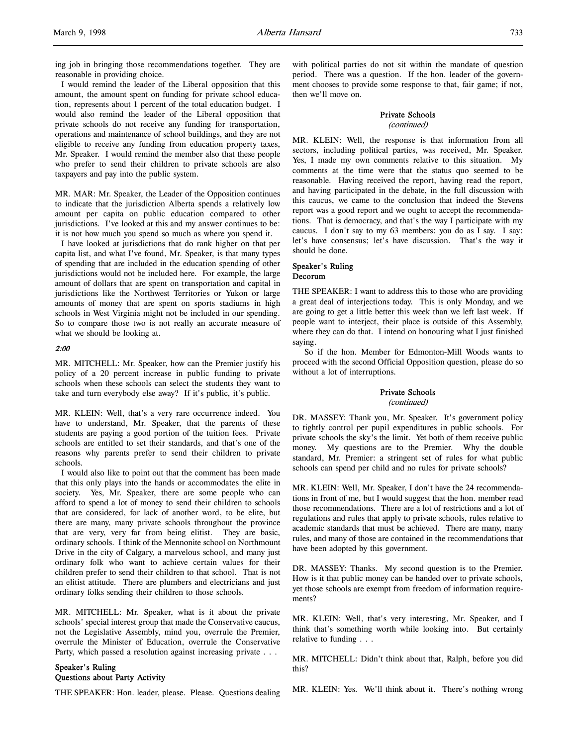ing job in bringing those recommendations together. They are reasonable in providing choice.

I would remind the leader of the Liberal opposition that this amount, the amount spent on funding for private school education, represents about 1 percent of the total education budget. I would also remind the leader of the Liberal opposition that private schools do not receive any funding for transportation, operations and maintenance of school buildings, and they are not eligible to receive any funding from education property taxes, Mr. Speaker. I would remind the member also that these people who prefer to send their children to private schools are also taxpayers and pay into the public system.

MR. MAR: Mr. Speaker, the Leader of the Opposition continues to indicate that the jurisdiction Alberta spends a relatively low amount per capita on public education compared to other jurisdictions. I've looked at this and my answer continues to be: it is not how much you spend so much as where you spend it.

I have looked at jurisdictions that do rank higher on that per capita list, and what I've found, Mr. Speaker, is that many types of spending that are included in the education spending of other jurisdictions would not be included here. For example, the large amount of dollars that are spent on transportation and capital in jurisdictions like the Northwest Territories or Yukon or large amounts of money that are spent on sports stadiums in high schools in West Virginia might not be included in our spending. So to compare those two is not really an accurate measure of what we should be looking at.

#### 2:00

MR. MITCHELL: Mr. Speaker, how can the Premier justify his policy of a 20 percent increase in public funding to private schools when these schools can select the students they want to take and turn everybody else away? If it's public, it's public.

MR. KLEIN: Well, that's a very rare occurrence indeed. You have to understand, Mr. Speaker, that the parents of these students are paying a good portion of the tuition fees. Private schools are entitled to set their standards, and that's one of the reasons why parents prefer to send their children to private schools.

I would also like to point out that the comment has been made that this only plays into the hands or accommodates the elite in society. Yes, Mr. Speaker, there are some people who can afford to spend a lot of money to send their children to schools that are considered, for lack of another word, to be elite, but there are many, many private schools throughout the province that are very, very far from being elitist. They are basic, ordinary schools. I think of the Mennonite school on Northmount Drive in the city of Calgary, a marvelous school, and many just ordinary folk who want to achieve certain values for their children prefer to send their children to that school. That is not an elitist attitude. There are plumbers and electricians and just ordinary folks sending their children to those schools.

MR. MITCHELL: Mr. Speaker, what is it about the private schools' special interest group that made the Conservative caucus, not the Legislative Assembly, mind you, overrule the Premier, overrule the Minister of Education, overrule the Conservative Party, which passed a resolution against increasing private . . .

# Speaker's Ruling Questions about Party Activity

THE SPEAKER: Hon. leader, please. Please. Questions dealing

with political parties do not sit within the mandate of question period. There was a question. If the hon. leader of the government chooses to provide some response to that, fair game; if not, then we'll move on.

# Private Schools

(continued)

MR. KLEIN: Well, the response is that information from all sectors, including political parties, was received, Mr. Speaker. Yes, I made my own comments relative to this situation. My comments at the time were that the status quo seemed to be reasonable. Having received the report, having read the report, and having participated in the debate, in the full discussion with this caucus, we came to the conclusion that indeed the Stevens report was a good report and we ought to accept the recommendations. That is democracy, and that's the way I participate with my caucus. I don't say to my 63 members: you do as I say. I say: let's have consensus; let's have discussion. That's the way it should be done.

# Speaker's Ruling Decorum

THE SPEAKER: I want to address this to those who are providing a great deal of interjections today. This is only Monday, and we are going to get a little better this week than we left last week. If people want to interject, their place is outside of this Assembly, where they can do that. I intend on honouring what I just finished saying.

So if the hon. Member for Edmonton-Mill Woods wants to proceed with the second Official Opposition question, please do so without a lot of interruptions.

# Private Schools

(continued)

DR. MASSEY: Thank you, Mr. Speaker. It's government policy to tightly control per pupil expenditures in public schools. For private schools the sky's the limit. Yet both of them receive public money. My questions are to the Premier. Why the double standard, Mr. Premier: a stringent set of rules for what public schools can spend per child and no rules for private schools?

MR. KLEIN: Well, Mr. Speaker, I don't have the 24 recommendations in front of me, but I would suggest that the hon. member read those recommendations. There are a lot of restrictions and a lot of regulations and rules that apply to private schools, rules relative to academic standards that must be achieved. There are many, many rules, and many of those are contained in the recommendations that have been adopted by this government.

DR. MASSEY: Thanks. My second question is to the Premier. How is it that public money can be handed over to private schools, yet those schools are exempt from freedom of information requirements?

MR. KLEIN: Well, that's very interesting, Mr. Speaker, and I think that's something worth while looking into. But certainly relative to funding . . .

MR. MITCHELL: Didn't think about that, Ralph, before you did this?

MR. KLEIN: Yes. We'll think about it. There's nothing wrong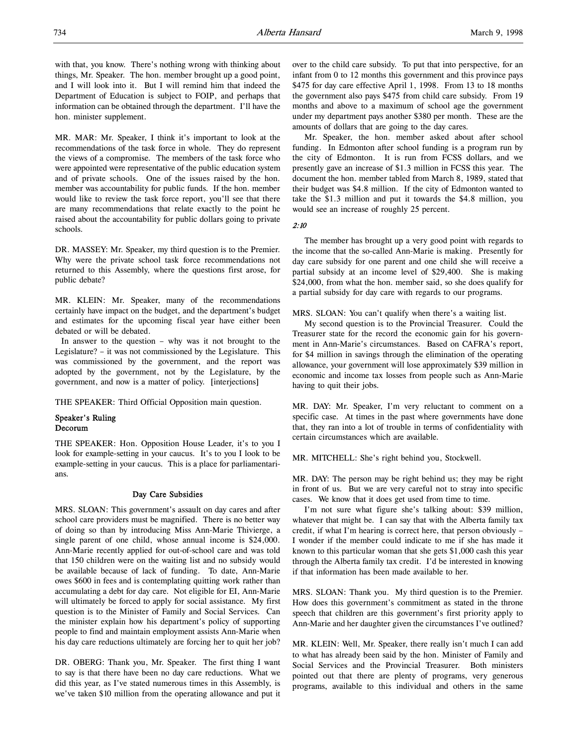with that, you know. There's nothing wrong with thinking about things, Mr. Speaker. The hon. member brought up a good point, and I will look into it. But I will remind him that indeed the Department of Education is subject to FOIP, and perhaps that information can be obtained through the department. I'll have the hon. minister supplement.

MR. MAR: Mr. Speaker, I think it's important to look at the recommendations of the task force in whole. They do represent the views of a compromise. The members of the task force who were appointed were representative of the public education system and of private schools. One of the issues raised by the hon. member was accountability for public funds. If the hon. member would like to review the task force report, you'll see that there are many recommendations that relate exactly to the point he raised about the accountability for public dollars going to private schools.

DR. MASSEY: Mr. Speaker, my third question is to the Premier. Why were the private school task force recommendations not returned to this Assembly, where the questions first arose, for public debate?

MR. KLEIN: Mr. Speaker, many of the recommendations certainly have impact on the budget, and the department's budget and estimates for the upcoming fiscal year have either been debated or will be debated.

In answer to the question – why was it not brought to the Legislature? – it was not commissioned by the Legislature. This was commissioned by the government, and the report was adopted by the government, not by the Legislature, by the government, and now is a matter of policy. [interjections]

THE SPEAKER: Third Official Opposition main question.

# Speaker's Ruling Decorum

THE SPEAKER: Hon. Opposition House Leader, it's to you I look for example-setting in your caucus. It's to you I look to be example-setting in your caucus. This is a place for parliamentarians.

#### Day Care Subsidies

MRS. SLOAN: This government's assault on day cares and after school care providers must be magnified. There is no better way of doing so than by introducing Miss Ann-Marie Thivierge, a single parent of one child, whose annual income is \$24,000. Ann-Marie recently applied for out-of-school care and was told that 150 children were on the waiting list and no subsidy would be available because of lack of funding. To date, Ann-Marie owes \$600 in fees and is contemplating quitting work rather than accumulating a debt for day care. Not eligible for EI, Ann-Marie will ultimately be forced to apply for social assistance. My first question is to the Minister of Family and Social Services. Can the minister explain how his department's policy of supporting people to find and maintain employment assists Ann-Marie when his day care reductions ultimately are forcing her to quit her job?

DR. OBERG: Thank you, Mr. Speaker. The first thing I want to say is that there have been no day care reductions. What we did this year, as I've stated numerous times in this Assembly, is we've taken \$10 million from the operating allowance and put it over to the child care subsidy. To put that into perspective, for an infant from 0 to 12 months this government and this province pays \$475 for day care effective April 1, 1998. From 13 to 18 months the government also pays \$475 from child care subsidy. From 19 months and above to a maximum of school age the government under my department pays another \$380 per month. These are the amounts of dollars that are going to the day cares.

Mr. Speaker, the hon. member asked about after school funding. In Edmonton after school funding is a program run by the city of Edmonton. It is run from FCSS dollars, and we presently gave an increase of \$1.3 million in FCSS this year. The document the hon. member tabled from March 8, 1989, stated that their budget was \$4.8 million. If the city of Edmonton wanted to take the \$1.3 million and put it towards the \$4.8 million, you would see an increase of roughly 25 percent.

2:10

The member has brought up a very good point with regards to the income that the so-called Ann-Marie is making. Presently for day care subsidy for one parent and one child she will receive a partial subsidy at an income level of \$29,400. She is making \$24,000, from what the hon. member said, so she does qualify for a partial subsidy for day care with regards to our programs.

MRS. SLOAN: You can't qualify when there's a waiting list.

My second question is to the Provincial Treasurer. Could the Treasurer state for the record the economic gain for his government in Ann-Marie's circumstances. Based on CAFRA's report, for \$4 million in savings through the elimination of the operating allowance, your government will lose approximately \$39 million in economic and income tax losses from people such as Ann-Marie having to quit their jobs.

MR. DAY: Mr. Speaker, I'm very reluctant to comment on a specific case. At times in the past where governments have done that, they ran into a lot of trouble in terms of confidentiality with certain circumstances which are available.

MR. MITCHELL: She's right behind you, Stockwell.

MR. DAY: The person may be right behind us; they may be right in front of us. But we are very careful not to stray into specific cases. We know that it does get used from time to time.

I'm not sure what figure she's talking about: \$39 million, whatever that might be. I can say that with the Alberta family tax credit, if what I'm hearing is correct here, that person obviously – I wonder if the member could indicate to me if she has made it known to this particular woman that she gets \$1,000 cash this year through the Alberta family tax credit. I'd be interested in knowing if that information has been made available to her.

MRS. SLOAN: Thank you. My third question is to the Premier. How does this government's commitment as stated in the throne speech that children are this government's first priority apply to Ann-Marie and her daughter given the circumstances I've outlined?

MR. KLEIN: Well, Mr. Speaker, there really isn't much I can add to what has already been said by the hon. Minister of Family and Social Services and the Provincial Treasurer. Both ministers pointed out that there are plenty of programs, very generous programs, available to this individual and others in the same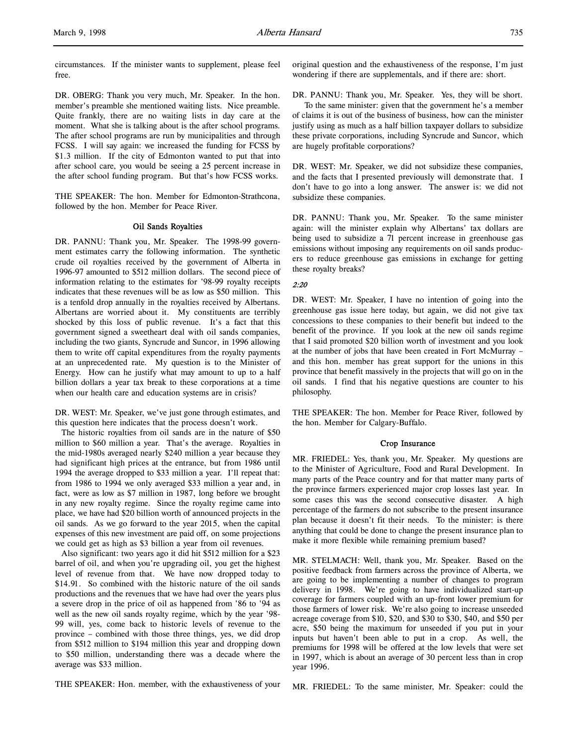circumstances. If the minister wants to supplement, please feel free.

DR. OBERG: Thank you very much, Mr. Speaker. In the hon. member's preamble she mentioned waiting lists. Nice preamble. Quite frankly, there are no waiting lists in day care at the moment. What she is talking about is the after school programs. The after school programs are run by municipalities and through FCSS. I will say again: we increased the funding for FCSS by \$1.3 million. If the city of Edmonton wanted to put that into after school care, you would be seeing a 25 percent increase in the after school funding program. But that's how FCSS works.

THE SPEAKER: The hon. Member for Edmonton-Strathcona, followed by the hon. Member for Peace River.

# Oil Sands Royalties

DR. PANNU: Thank you, Mr. Speaker. The 1998-99 government estimates carry the following information. The synthetic crude oil royalties received by the government of Alberta in 1996-97 amounted to \$512 million dollars. The second piece of information relating to the estimates for '98-99 royalty receipts indicates that these revenues will be as low as \$50 million. This is a tenfold drop annually in the royalties received by Albertans. Albertans are worried about it. My constituents are terribly shocked by this loss of public revenue. It's a fact that this government signed a sweetheart deal with oil sands companies, including the two giants, Syncrude and Suncor, in 1996 allowing them to write off capital expenditures from the royalty payments at an unprecedented rate. My question is to the Minister of Energy. How can he justify what may amount to up to a half billion dollars a year tax break to these corporations at a time when our health care and education systems are in crisis?

DR. WEST: Mr. Speaker, we've just gone through estimates, and this question here indicates that the process doesn't work.

The historic royalties from oil sands are in the nature of \$50 million to \$60 million a year. That's the average. Royalties in the mid-1980s averaged nearly \$240 million a year because they had significant high prices at the entrance, but from 1986 until 1994 the average dropped to \$33 million a year. I'll repeat that: from 1986 to 1994 we only averaged \$33 million a year and, in fact, were as low as \$7 million in 1987, long before we brought in any new royalty regime. Since the royalty regime came into place, we have had \$20 billion worth of announced projects in the oil sands. As we go forward to the year 2015, when the capital expenses of this new investment are paid off, on some projections we could get as high as \$3 billion a year from oil revenues.

Also significant: two years ago it did hit \$512 million for a \$23 barrel of oil, and when you're upgrading oil, you get the highest level of revenue from that. We have now dropped today to \$14.91. So combined with the historic nature of the oil sands productions and the revenues that we have had over the years plus a severe drop in the price of oil as happened from '86 to '94 as well as the new oil sands royalty regime, which by the year '98- 99 will, yes, come back to historic levels of revenue to the province – combined with those three things, yes, we did drop from \$512 million to \$194 million this year and dropping down to \$50 million, understanding there was a decade where the average was \$33 million.

THE SPEAKER: Hon. member, with the exhaustiveness of your

original question and the exhaustiveness of the response, I'm just wondering if there are supplementals, and if there are: short.

DR. PANNU: Thank you, Mr. Speaker. Yes, they will be short. To the same minister: given that the government he's a member of claims it is out of the business of business, how can the minister justify using as much as a half billion taxpayer dollars to subsidize these private corporations, including Syncrude and Suncor, which are hugely profitable corporations?

DR. WEST: Mr. Speaker, we did not subsidize these companies, and the facts that I presented previously will demonstrate that. I don't have to go into a long answer. The answer is: we did not subsidize these companies.

DR. PANNU: Thank you, Mr. Speaker. To the same minister again: will the minister explain why Albertans' tax dollars are being used to subsidize a 71 percent increase in greenhouse gas emissions without imposing any requirements on oil sands producers to reduce greenhouse gas emissions in exchange for getting these royalty breaks?

# $2.20$

DR. WEST: Mr. Speaker, I have no intention of going into the greenhouse gas issue here today, but again, we did not give tax concessions to these companies to their benefit but indeed to the benefit of the province. If you look at the new oil sands regime that I said promoted \$20 billion worth of investment and you look at the number of jobs that have been created in Fort McMurray – and this hon. member has great support for the unions in this province that benefit massively in the projects that will go on in the oil sands. I find that his negative questions are counter to his philosophy.

THE SPEAKER: The hon. Member for Peace River, followed by the hon. Member for Calgary-Buffalo.

# Crop Insurance

MR. FRIEDEL: Yes, thank you, Mr. Speaker. My questions are to the Minister of Agriculture, Food and Rural Development. In many parts of the Peace country and for that matter many parts of the province farmers experienced major crop losses last year. In some cases this was the second consecutive disaster. A high percentage of the farmers do not subscribe to the present insurance plan because it doesn't fit their needs. To the minister: is there anything that could be done to change the present insurance plan to make it more flexible while remaining premium based?

MR. STELMACH: Well, thank you, Mr. Speaker. Based on the positive feedback from farmers across the province of Alberta, we are going to be implementing a number of changes to program delivery in 1998. We're going to have individualized start-up coverage for farmers coupled with an up-front lower premium for those farmers of lower risk. We're also going to increase unseeded acreage coverage from \$10, \$20, and \$30 to \$30, \$40, and \$50 per acre, \$50 being the maximum for unseeded if you put in your inputs but haven't been able to put in a crop. As well, the premiums for 1998 will be offered at the low levels that were set in 1997, which is about an average of 30 percent less than in crop year 1996.

MR. FRIEDEL: To the same minister, Mr. Speaker: could the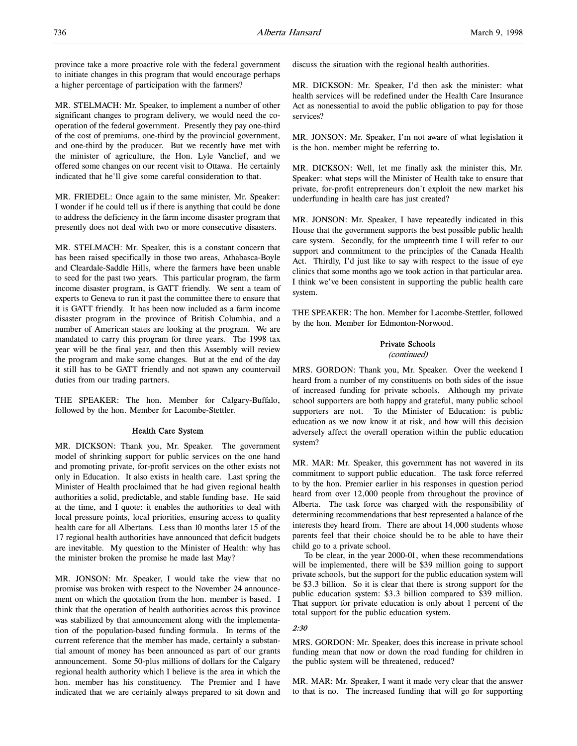province take a more proactive role with the federal government to initiate changes in this program that would encourage perhaps a higher percentage of participation with the farmers?

MR. STELMACH: Mr. Speaker, to implement a number of other significant changes to program delivery, we would need the cooperation of the federal government. Presently they pay one-third of the cost of premiums, one-third by the provincial government, and one-third by the producer. But we recently have met with the minister of agriculture, the Hon. Lyle Vanclief, and we offered some changes on our recent visit to Ottawa. He certainly indicated that he'll give some careful consideration to that.

MR. FRIEDEL: Once again to the same minister, Mr. Speaker: I wonder if he could tell us if there is anything that could be done to address the deficiency in the farm income disaster program that presently does not deal with two or more consecutive disasters.

MR. STELMACH: Mr. Speaker, this is a constant concern that has been raised specifically in those two areas, Athabasca-Boyle and Cleardale-Saddle Hills, where the farmers have been unable to seed for the past two years. This particular program, the farm income disaster program, is GATT friendly. We sent a team of experts to Geneva to run it past the committee there to ensure that it is GATT friendly. It has been now included as a farm income disaster program in the province of British Columbia, and a number of American states are looking at the program. We are mandated to carry this program for three years. The 1998 tax year will be the final year, and then this Assembly will review the program and make some changes. But at the end of the day it still has to be GATT friendly and not spawn any countervail duties from our trading partners.

THE SPEAKER: The hon. Member for Calgary-Buffalo, followed by the hon. Member for Lacombe-Stettler.

# Health Care System

MR. DICKSON: Thank you, Mr. Speaker. The government model of shrinking support for public services on the one hand and promoting private, for-profit services on the other exists not only in Education. It also exists in health care. Last spring the Minister of Health proclaimed that he had given regional health authorities a solid, predictable, and stable funding base. He said at the time, and I quote: it enables the authorities to deal with local pressure points, local priorities, ensuring access to quality health care for all Albertans. Less than 10 months later 15 of the 17 regional health authorities have announced that deficit budgets are inevitable. My question to the Minister of Health: why has the minister broken the promise he made last May?

MR. JONSON: Mr. Speaker, I would take the view that no promise was broken with respect to the November 24 announcement on which the quotation from the hon. member is based. I think that the operation of health authorities across this province was stabilized by that announcement along with the implementation of the population-based funding formula. In terms of the current reference that the member has made, certainly a substantial amount of money has been announced as part of our grants announcement. Some 50-plus millions of dollars for the Calgary regional health authority which I believe is the area in which the hon. member has his constituency. The Premier and I have indicated that we are certainly always prepared to sit down and

discuss the situation with the regional health authorities.

MR. DICKSON: Mr. Speaker, I'd then ask the minister: what health services will be redefined under the Health Care Insurance Act as nonessential to avoid the public obligation to pay for those services?

MR. JONSON: Mr. Speaker, I'm not aware of what legislation it is the hon. member might be referring to.

MR. DICKSON: Well, let me finally ask the minister this, Mr. Speaker: what steps will the Minister of Health take to ensure that private, for-profit entrepreneurs don't exploit the new market his underfunding in health care has just created?

MR. JONSON: Mr. Speaker, I have repeatedly indicated in this House that the government supports the best possible public health care system. Secondly, for the umpteenth time I will refer to our support and commitment to the principles of the Canada Health Act. Thirdly, I'd just like to say with respect to the issue of eye clinics that some months ago we took action in that particular area. I think we've been consistent in supporting the public health care system.

THE SPEAKER: The hon. Member for Lacombe-Stettler, followed by the hon. Member for Edmonton-Norwood.

# Private Schools

(continued)

MRS. GORDON: Thank you, Mr. Speaker. Over the weekend I heard from a number of my constituents on both sides of the issue of increased funding for private schools. Although my private school supporters are both happy and grateful, many public school supporters are not. To the Minister of Education: is public education as we now know it at risk, and how will this decision adversely affect the overall operation within the public education system?

MR. MAR: Mr. Speaker, this government has not wavered in its commitment to support public education. The task force referred to by the hon. Premier earlier in his responses in question period heard from over 12,000 people from throughout the province of Alberta. The task force was charged with the responsibility of determining recommendations that best represented a balance of the interests they heard from. There are about 14,000 students whose parents feel that their choice should be to be able to have their child go to a private school.

To be clear, in the year 2000-01, when these recommendations will be implemented, there will be \$39 million going to support private schools, but the support for the public education system will be \$3.3 billion. So it is clear that there is strong support for the public education system: \$3.3 billion compared to \$39 million. That support for private education is only about 1 percent of the total support for the public education system.

#### 2:30

MRS. GORDON: Mr. Speaker, does this increase in private school funding mean that now or down the road funding for children in the public system will be threatened, reduced?

MR. MAR: Mr. Speaker, I want it made very clear that the answer to that is no. The increased funding that will go for supporting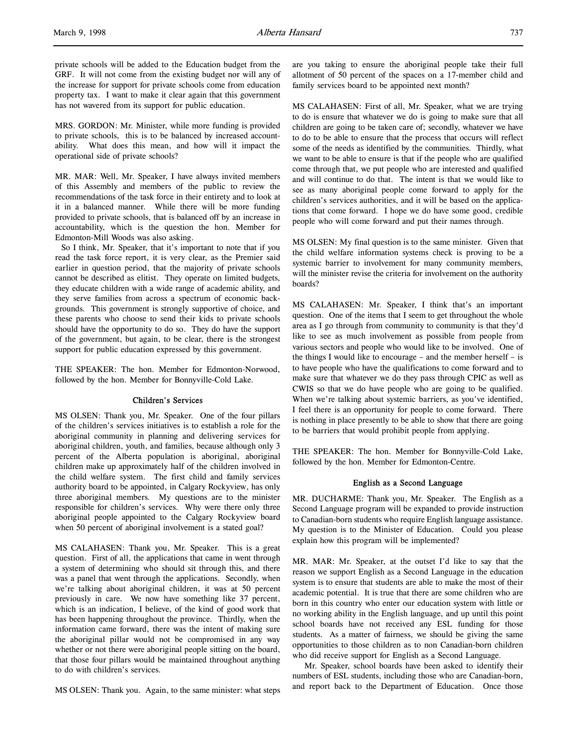private schools will be added to the Education budget from the GRF. It will not come from the existing budget nor will any of the increase for support for private schools come from education property tax. I want to make it clear again that this government has not wavered from its support for public education.

MRS. GORDON: Mr. Minister, while more funding is provided to private schools, this is to be balanced by increased accountability. What does this mean, and how will it impact the operational side of private schools?

MR. MAR: Well, Mr. Speaker, I have always invited members of this Assembly and members of the public to review the recommendations of the task force in their entirety and to look at it in a balanced manner. While there will be more funding provided to private schools, that is balanced off by an increase in accountability, which is the question the hon. Member for Edmonton-Mill Woods was also asking.

So I think, Mr. Speaker, that it's important to note that if you read the task force report, it is very clear, as the Premier said earlier in question period, that the majority of private schools cannot be described as elitist. They operate on limited budgets, they educate children with a wide range of academic ability, and they serve families from across a spectrum of economic backgrounds. This government is strongly supportive of choice, and these parents who choose to send their kids to private schools should have the opportunity to do so. They do have the support of the government, but again, to be clear, there is the strongest support for public education expressed by this government.

THE SPEAKER: The hon. Member for Edmonton-Norwood, followed by the hon. Member for Bonnyville-Cold Lake.

#### Children's Services

MS OLSEN: Thank you, Mr. Speaker. One of the four pillars of the children's services initiatives is to establish a role for the aboriginal community in planning and delivering services for aboriginal children, youth, and families, because although only 3 percent of the Alberta population is aboriginal, aboriginal children make up approximately half of the children involved in the child welfare system. The first child and family services authority board to be appointed, in Calgary Rockyview, has only three aboriginal members. My questions are to the minister responsible for children's services. Why were there only three aboriginal people appointed to the Calgary Rockyview board when 50 percent of aboriginal involvement is a stated goal?

MS CALAHASEN: Thank you, Mr. Speaker. This is a great question. First of all, the applications that came in went through a system of determining who should sit through this, and there was a panel that went through the applications. Secondly, when we're talking about aboriginal children, it was at 50 percent previously in care. We now have something like 37 percent, which is an indication, I believe, of the kind of good work that has been happening throughout the province. Thirdly, when the information came forward, there was the intent of making sure the aboriginal pillar would not be compromised in any way whether or not there were aboriginal people sitting on the board, that those four pillars would be maintained throughout anything to do with children's services.

MS OLSEN: Thank you. Again, to the same minister: what steps

are you taking to ensure the aboriginal people take their full allotment of 50 percent of the spaces on a 17-member child and family services board to be appointed next month?

MS CALAHASEN: First of all, Mr. Speaker, what we are trying to do is ensure that whatever we do is going to make sure that all children are going to be taken care of; secondly, whatever we have to do to be able to ensure that the process that occurs will reflect some of the needs as identified by the communities. Thirdly, what we want to be able to ensure is that if the people who are qualified come through that, we put people who are interested and qualified and will continue to do that. The intent is that we would like to see as many aboriginal people come forward to apply for the children's services authorities, and it will be based on the applications that come forward. I hope we do have some good, credible people who will come forward and put their names through.

MS OLSEN: My final question is to the same minister. Given that the child welfare information systems check is proving to be a systemic barrier to involvement for many community members, will the minister revise the criteria for involvement on the authority boards?

MS CALAHASEN: Mr. Speaker, I think that's an important question. One of the items that I seem to get throughout the whole area as I go through from community to community is that they'd like to see as much involvement as possible from people from various sectors and people who would like to be involved. One of the things I would like to encourage – and the member herself – is to have people who have the qualifications to come forward and to make sure that whatever we do they pass through CPIC as well as CWIS so that we do have people who are going to be qualified. When we're talking about systemic barriers, as you've identified, I feel there is an opportunity for people to come forward. There is nothing in place presently to be able to show that there are going to be barriers that would prohibit people from applying.

THE SPEAKER: The hon. Member for Bonnyville-Cold Lake, followed by the hon. Member for Edmonton-Centre.

# English as a Second Language

MR. DUCHARME: Thank you, Mr. Speaker. The English as a Second Language program will be expanded to provide instruction to Canadian-born students who require English language assistance. My question is to the Minister of Education. Could you please explain how this program will be implemented?

MR. MAR: Mr. Speaker, at the outset I'd like to say that the reason we support English as a Second Language in the education system is to ensure that students are able to make the most of their academic potential. It is true that there are some children who are born in this country who enter our education system with little or no working ability in the English language, and up until this point school boards have not received any ESL funding for those students. As a matter of fairness, we should be giving the same opportunities to those children as to non Canadian-born children who did receive support for English as a Second Language.

Mr. Speaker, school boards have been asked to identify their numbers of ESL students, including those who are Canadian-born, and report back to the Department of Education. Once those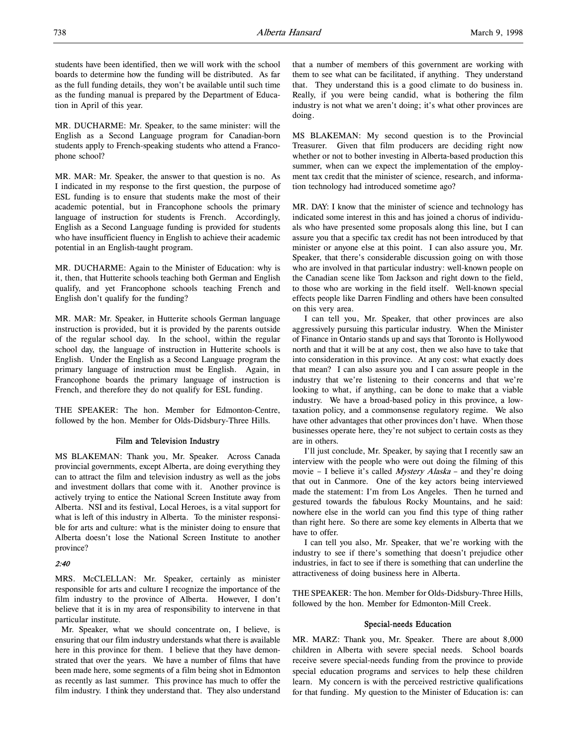students have been identified, then we will work with the school boards to determine how the funding will be distributed. As far as the full funding details, they won't be available until such time as the funding manual is prepared by the Department of Education in April of this year.

MR. DUCHARME: Mr. Speaker, to the same minister: will the English as a Second Language program for Canadian-born students apply to French-speaking students who attend a Francophone school?

MR. MAR: Mr. Speaker, the answer to that question is no. As I indicated in my response to the first question, the purpose of ESL funding is to ensure that students make the most of their academic potential, but in Francophone schools the primary language of instruction for students is French. Accordingly, English as a Second Language funding is provided for students who have insufficient fluency in English to achieve their academic potential in an English-taught program.

MR. DUCHARME: Again to the Minister of Education: why is it, then, that Hutterite schools teaching both German and English qualify, and yet Francophone schools teaching French and English don't qualify for the funding?

MR. MAR: Mr. Speaker, in Hutterite schools German language instruction is provided, but it is provided by the parents outside of the regular school day. In the school, within the regular school day, the language of instruction in Hutterite schools is English. Under the English as a Second Language program the primary language of instruction must be English. Again, in Francophone boards the primary language of instruction is French, and therefore they do not qualify for ESL funding.

THE SPEAKER: The hon. Member for Edmonton-Centre, followed by the hon. Member for Olds-Didsbury-Three Hills.

# Film and Television Industry

MS BLAKEMAN: Thank you, Mr. Speaker. Across Canada provincial governments, except Alberta, are doing everything they can to attract the film and television industry as well as the jobs and investment dollars that come with it. Another province is actively trying to entice the National Screen Institute away from Alberta. NSI and its festival, Local Heroes, is a vital support for what is left of this industry in Alberta. To the minister responsible for arts and culture: what is the minister doing to ensure that Alberta doesn't lose the National Screen Institute to another province?

#### 2:40

MRS. McCLELLAN: Mr. Speaker, certainly as minister responsible for arts and culture I recognize the importance of the film industry to the province of Alberta. However, I don't believe that it is in my area of responsibility to intervene in that particular institute.

Mr. Speaker, what we should concentrate on, I believe, is ensuring that our film industry understands what there is available here in this province for them. I believe that they have demonstrated that over the years. We have a number of films that have been made here, some segments of a film being shot in Edmonton as recently as last summer. This province has much to offer the film industry. I think they understand that. They also understand

that a number of members of this government are working with them to see what can be facilitated, if anything. They understand that. They understand this is a good climate to do business in. Really, if you were being candid, what is bothering the film industry is not what we aren't doing; it's what other provinces are doing.

MS BLAKEMAN: My second question is to the Provincial Treasurer. Given that film producers are deciding right now whether or not to bother investing in Alberta-based production this summer, when can we expect the implementation of the employment tax credit that the minister of science, research, and information technology had introduced sometime ago?

MR. DAY: I know that the minister of science and technology has indicated some interest in this and has joined a chorus of individuals who have presented some proposals along this line, but I can assure you that a specific tax credit has not been introduced by that minister or anyone else at this point. I can also assure you, Mr. Speaker, that there's considerable discussion going on with those who are involved in that particular industry: well-known people on the Canadian scene like Tom Jackson and right down to the field, to those who are working in the field itself. Well-known special effects people like Darren Findling and others have been consulted on this very area.

I can tell you, Mr. Speaker, that other provinces are also aggressively pursuing this particular industry. When the Minister of Finance in Ontario stands up and says that Toronto is Hollywood north and that it will be at any cost, then we also have to take that into consideration in this province. At any cost: what exactly does that mean? I can also assure you and I can assure people in the industry that we're listening to their concerns and that we're looking to what, if anything, can be done to make that a viable industry. We have a broad-based policy in this province, a lowtaxation policy, and a commonsense regulatory regime. We also have other advantages that other provinces don't have. When those businesses operate here, they're not subject to certain costs as they are in others.

I'll just conclude, Mr. Speaker, by saying that I recently saw an interview with the people who were out doing the filming of this movie - I believe it's called *Mystery Alaska* - and they're doing that out in Canmore. One of the key actors being interviewed made the statement: I'm from Los Angeles. Then he turned and gestured towards the fabulous Rocky Mountains, and he said: nowhere else in the world can you find this type of thing rather than right here. So there are some key elements in Alberta that we have to offer.

I can tell you also, Mr. Speaker, that we're working with the industry to see if there's something that doesn't prejudice other industries, in fact to see if there is something that can underline the attractiveness of doing business here in Alberta.

THE SPEAKER: The hon. Member for Olds-Didsbury-Three Hills, followed by the hon. Member for Edmonton-Mill Creek.

## Special-needs Education

MR. MARZ: Thank you, Mr. Speaker. There are about 8,000 children in Alberta with severe special needs. School boards receive severe special-needs funding from the province to provide special education programs and services to help these children learn. My concern is with the perceived restrictive qualifications for that funding. My question to the Minister of Education is: can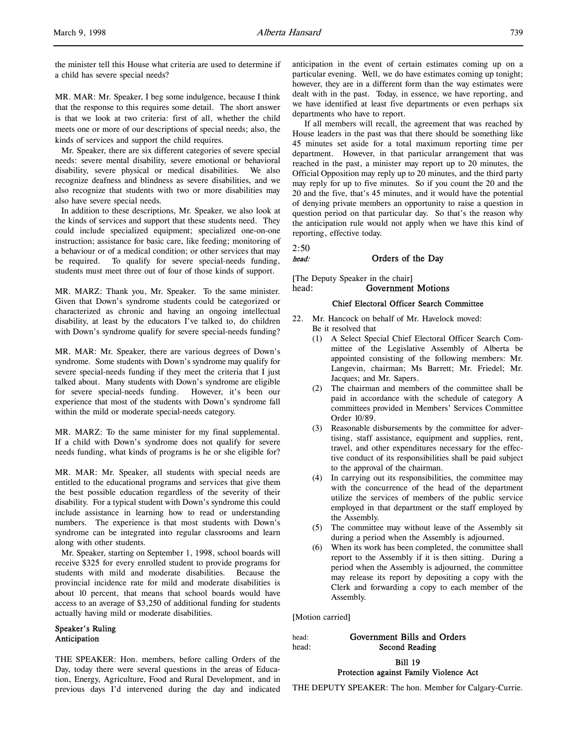2:50

the minister tell this House what criteria are used to determine if a child has severe special needs?

MR. MAR: Mr. Speaker, I beg some indulgence, because I think that the response to this requires some detail. The short answer is that we look at two criteria: first of all, whether the child meets one or more of our descriptions of special needs; also, the kinds of services and support the child requires.

Mr. Speaker, there are six different categories of severe special needs: severe mental disability, severe emotional or behavioral disability, severe physical or medical disabilities. We also recognize deafness and blindness as severe disabilities, and we also recognize that students with two or more disabilities may also have severe special needs.

In addition to these descriptions, Mr. Speaker, we also look at the kinds of services and support that these students need. They could include specialized equipment; specialized one-on-one instruction; assistance for basic care, like feeding; monitoring of a behaviour or of a medical condition; or other services that may be required. To qualify for severe special-needs funding, students must meet three out of four of those kinds of support.

MR. MARZ: Thank you, Mr. Speaker. To the same minister. Given that Down's syndrome students could be categorized or characterized as chronic and having an ongoing intellectual disability, at least by the educators I've talked to, do children with Down's syndrome qualify for severe special-needs funding?

MR. MAR: Mr. Speaker, there are various degrees of Down's syndrome. Some students with Down's syndrome may qualify for severe special-needs funding if they meet the criteria that I just talked about. Many students with Down's syndrome are eligible for severe special-needs funding. However, it's been our experience that most of the students with Down's syndrome fall within the mild or moderate special-needs category.

MR. MARZ: To the same minister for my final supplemental. If a child with Down's syndrome does not qualify for severe needs funding, what kinds of programs is he or she eligible for?

MR. MAR: Mr. Speaker, all students with special needs are entitled to the educational programs and services that give them the best possible education regardless of the severity of their disability. For a typical student with Down's syndrome this could include assistance in learning how to read or understanding numbers. The experience is that most students with Down's syndrome can be integrated into regular classrooms and learn along with other students.

Mr. Speaker, starting on September 1, 1998, school boards will receive \$325 for every enrolled student to provide programs for students with mild and moderate disabilities. Because the provincial incidence rate for mild and moderate disabilities is about 10 percent, that means that school boards would have access to an average of \$3,250 of additional funding for students actually having mild or moderate disabilities.

# Speaker's Ruling Anticipation

THE SPEAKER: Hon. members, before calling Orders of the Day, today there were several questions in the areas of Education, Energy, Agriculture, Food and Rural Development, and in previous days I'd intervened during the day and indicated

anticipation in the event of certain estimates coming up on a particular evening. Well, we do have estimates coming up tonight; however, they are in a different form than the way estimates were dealt with in the past. Today, in essence, we have reporting, and we have identified at least five departments or even perhaps six departments who have to report.

If all members will recall, the agreement that was reached by House leaders in the past was that there should be something like 45 minutes set aside for a total maximum reporting time per department. However, in that particular arrangement that was reached in the past, a minister may report up to 20 minutes, the Official Opposition may reply up to 20 minutes, and the third party may reply for up to five minutes. So if you count the 20 and the 20 and the five, that's 45 minutes, and it would have the potential of denying private members an opportunity to raise a question in question period on that particular day. So that's the reason why the anticipation rule would not apply when we have this kind of reporting, effective today.

# head: Orders of the Day

[The Deputy Speaker in the chair] head: Government Motions

# Chief Electoral Officer Search Committee

- 22. Mr. Hancock on behalf of Mr. Havelock moved: Be it resolved that
	- (1) A Select Special Chief Electoral Officer Search Committee of the Legislative Assembly of Alberta be appointed consisting of the following members: Mr. Langevin, chairman; Ms Barrett; Mr. Friedel; Mr. Jacques; and Mr. Sapers.
	- (2) The chairman and members of the committee shall be paid in accordance with the schedule of category A committees provided in Members' Services Committee Order 10/89.
	- (3) Reasonable disbursements by the committee for advertising, staff assistance, equipment and supplies, rent, travel, and other expenditures necessary for the effective conduct of its responsibilities shall be paid subject to the approval of the chairman.
	- (4) In carrying out its responsibilities, the committee may with the concurrence of the head of the department utilize the services of members of the public service employed in that department or the staff employed by the Assembly.
	- (5) The committee may without leave of the Assembly sit during a period when the Assembly is adjourned.
	- (6) When its work has been completed, the committee shall report to the Assembly if it is then sitting. During a period when the Assembly is adjourned, the committee may release its report by depositing a copy with the Clerk and forwarding a copy to each member of the Assembly.

[Motion carried]

head: Government Bills and Orders head: Second Reading

# Bill 19 Protection against Family Violence Act

THE DEPUTY SPEAKER: The hon. Member for Calgary-Currie.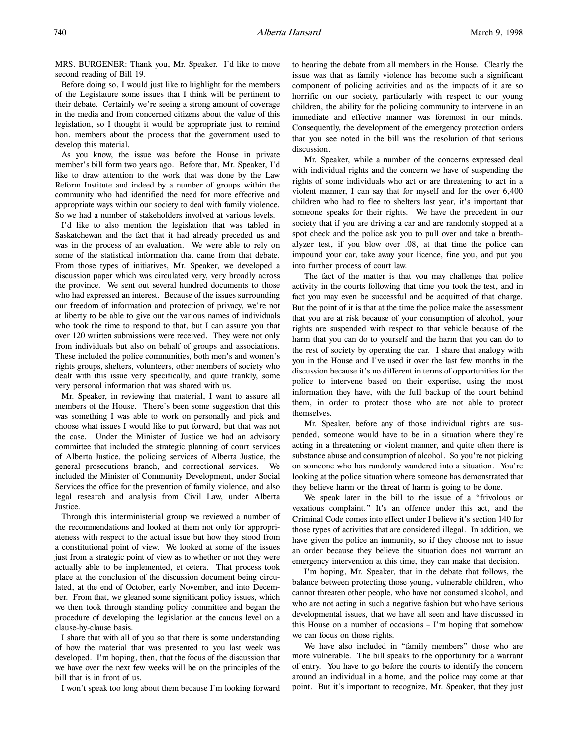MRS. BURGENER: Thank you, Mr. Speaker. I'd like to move second reading of Bill 19.

Before doing so, I would just like to highlight for the members of the Legislature some issues that I think will be pertinent to their debate. Certainly we're seeing a strong amount of coverage in the media and from concerned citizens about the value of this legislation, so I thought it would be appropriate just to remind hon. members about the process that the government used to develop this material.

As you know, the issue was before the House in private member's bill form two years ago. Before that, Mr. Speaker, I'd like to draw attention to the work that was done by the Law Reform Institute and indeed by a number of groups within the community who had identified the need for more effective and appropriate ways within our society to deal with family violence. So we had a number of stakeholders involved at various levels.

I'd like to also mention the legislation that was tabled in Saskatchewan and the fact that it had already preceded us and was in the process of an evaluation. We were able to rely on some of the statistical information that came from that debate. From those types of initiatives, Mr. Speaker, we developed a discussion paper which was circulated very, very broadly across the province. We sent out several hundred documents to those who had expressed an interest. Because of the issues surrounding our freedom of information and protection of privacy, we're not at liberty to be able to give out the various names of individuals who took the time to respond to that, but I can assure you that over 120 written submissions were received. They were not only from individuals but also on behalf of groups and associations. These included the police communities, both men's and women's rights groups, shelters, volunteers, other members of society who dealt with this issue very specifically, and quite frankly, some very personal information that was shared with us.

Mr. Speaker, in reviewing that material, I want to assure all members of the House. There's been some suggestion that this was something I was able to work on personally and pick and choose what issues I would like to put forward, but that was not the case. Under the Minister of Justice we had an advisory committee that included the strategic planning of court services of Alberta Justice, the policing services of Alberta Justice, the general prosecutions branch, and correctional services. We included the Minister of Community Development, under Social Services the office for the prevention of family violence, and also legal research and analysis from Civil Law, under Alberta Justice.

Through this interministerial group we reviewed a number of the recommendations and looked at them not only for appropriateness with respect to the actual issue but how they stood from a constitutional point of view. We looked at some of the issues just from a strategic point of view as to whether or not they were actually able to be implemented, et cetera. That process took place at the conclusion of the discussion document being circulated, at the end of October, early November, and into December. From that, we gleaned some significant policy issues, which we then took through standing policy committee and began the procedure of developing the legislation at the caucus level on a clause-by-clause basis.

I share that with all of you so that there is some understanding of how the material that was presented to you last week was developed. I'm hoping, then, that the focus of the discussion that we have over the next few weeks will be on the principles of the bill that is in front of us.

I won't speak too long about them because I'm looking forward

to hearing the debate from all members in the House. Clearly the issue was that as family violence has become such a significant component of policing activities and as the impacts of it are so horrific on our society, particularly with respect to our young children, the ability for the policing community to intervene in an immediate and effective manner was foremost in our minds. Consequently, the development of the emergency protection orders that you see noted in the bill was the resolution of that serious discussion.

Mr. Speaker, while a number of the concerns expressed deal with individual rights and the concern we have of suspending the rights of some individuals who act or are threatening to act in a violent manner, I can say that for myself and for the over 6,400 children who had to flee to shelters last year, it's important that someone speaks for their rights. We have the precedent in our society that if you are driving a car and are randomly stopped at a spot check and the police ask you to pull over and take a breathalyzer test, if you blow over .08, at that time the police can impound your car, take away your licence, fine you, and put you into further process of court law.

The fact of the matter is that you may challenge that police activity in the courts following that time you took the test, and in fact you may even be successful and be acquitted of that charge. But the point of it is that at the time the police make the assessment that you are at risk because of your consumption of alcohol, your rights are suspended with respect to that vehicle because of the harm that you can do to yourself and the harm that you can do to the rest of society by operating the car. I share that analogy with you in the House and I've used it over the last few months in the discussion because it's no different in terms of opportunities for the police to intervene based on their expertise, using the most information they have, with the full backup of the court behind them, in order to protect those who are not able to protect themselves.

Mr. Speaker, before any of those individual rights are suspended, someone would have to be in a situation where they're acting in a threatening or violent manner, and quite often there is substance abuse and consumption of alcohol. So you're not picking on someone who has randomly wandered into a situation. You're looking at the police situation where someone has demonstrated that they believe harm or the threat of harm is going to be done.

We speak later in the bill to the issue of a "frivolous or vexatious complaint." It's an offence under this act, and the Criminal Code comes into effect under I believe it's section 140 for those types of activities that are considered illegal. In addition, we have given the police an immunity, so if they choose not to issue an order because they believe the situation does not warrant an emergency intervention at this time, they can make that decision.

I'm hoping, Mr. Speaker, that in the debate that follows, the balance between protecting those young, vulnerable children, who cannot threaten other people, who have not consumed alcohol, and who are not acting in such a negative fashion but who have serious developmental issues, that we have all seen and have discussed in this House on a number of occasions – I'm hoping that somehow we can focus on those rights.

We have also included in "family members" those who are more vulnerable. The bill speaks to the opportunity for a warrant of entry. You have to go before the courts to identify the concern around an individual in a home, and the police may come at that point. But it's important to recognize, Mr. Speaker, that they just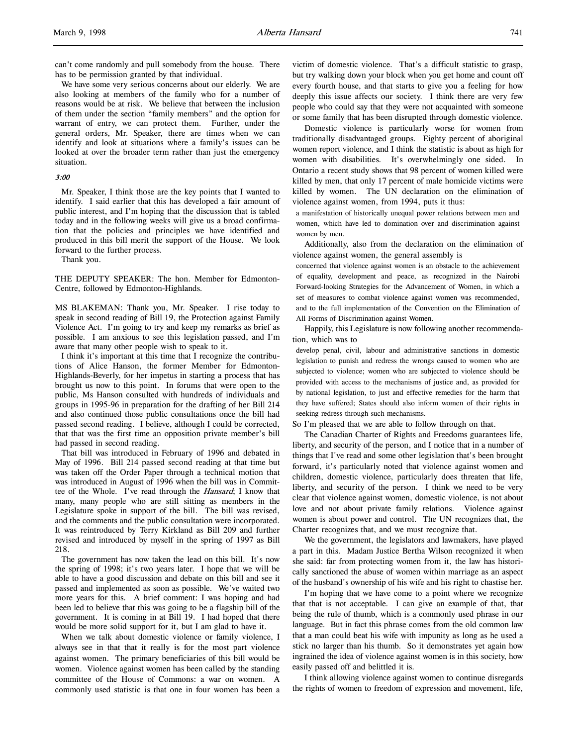can't come randomly and pull somebody from the house. There has to be permission granted by that individual.

We have some very serious concerns about our elderly. We are also looking at members of the family who for a number of reasons would be at risk. We believe that between the inclusion of them under the section "family members" and the option for warrant of entry, we can protect them. Further, under the general orders, Mr. Speaker, there are times when we can identify and look at situations where a family's issues can be looked at over the broader term rather than just the emergency situation.

#### 3:00

Mr. Speaker, I think those are the key points that I wanted to identify. I said earlier that this has developed a fair amount of public interest, and I'm hoping that the discussion that is tabled today and in the following weeks will give us a broad confirmation that the policies and principles we have identified and produced in this bill merit the support of the House. We look forward to the further process.

Thank you.

THE DEPUTY SPEAKER: The hon. Member for Edmonton-Centre, followed by Edmonton-Highlands.

MS BLAKEMAN: Thank you, Mr. Speaker. I rise today to speak in second reading of Bill 19, the Protection against Family Violence Act. I'm going to try and keep my remarks as brief as possible. I am anxious to see this legislation passed, and I'm aware that many other people wish to speak to it.

I think it's important at this time that I recognize the contributions of Alice Hanson, the former Member for Edmonton-Highlands-Beverly, for her impetus in starting a process that has brought us now to this point. In forums that were open to the public, Ms Hanson consulted with hundreds of individuals and groups in 1995-96 in preparation for the drafting of her Bill 214 and also continued those public consultations once the bill had passed second reading. I believe, although I could be corrected, that that was the first time an opposition private member's bill had passed in second reading.

That bill was introduced in February of 1996 and debated in May of 1996. Bill 214 passed second reading at that time but was taken off the Order Paper through a technical motion that was introduced in August of 1996 when the bill was in Committee of the Whole. I've read through the *Hansard*; I know that many, many people who are still sitting as members in the Legislature spoke in support of the bill. The bill was revised, and the comments and the public consultation were incorporated. It was reintroduced by Terry Kirkland as Bill 209 and further revised and introduced by myself in the spring of 1997 as Bill 218.

The government has now taken the lead on this bill. It's now the spring of 1998; it's two years later. I hope that we will be able to have a good discussion and debate on this bill and see it passed and implemented as soon as possible. We've waited two more years for this. A brief comment: I was hoping and had been led to believe that this was going to be a flagship bill of the government. It is coming in at Bill 19. I had hoped that there would be more solid support for it, but I am glad to have it.

When we talk about domestic violence or family violence, I always see in that that it really is for the most part violence against women. The primary beneficiaries of this bill would be women. Violence against women has been called by the standing committee of the House of Commons: a war on women. A commonly used statistic is that one in four women has been a victim of domestic violence. That's a difficult statistic to grasp, but try walking down your block when you get home and count off every fourth house, and that starts to give you a feeling for how deeply this issue affects our society. I think there are very few people who could say that they were not acquainted with someone or some family that has been disrupted through domestic violence.

Domestic violence is particularly worse for women from traditionally disadvantaged groups. Eighty percent of aboriginal women report violence, and I think the statistic is about as high for women with disabilities. It's overwhelmingly one sided. In Ontario a recent study shows that 98 percent of women killed were killed by men, that only 17 percent of male homicide victims were killed by women. The UN declaration on the elimination of violence against women, from 1994, puts it thus:

a manifestation of historically unequal power relations between men and women, which have led to domination over and discrimination against women by men.

Additionally, also from the declaration on the elimination of violence against women, the general assembly is

concerned that violence against women is an obstacle to the achievement of equality, development and peace, as recognized in the Nairobi Forward-looking Strategies for the Advancement of Women, in which a set of measures to combat violence against women was recommended, and to the full implementation of the Convention on the Elimination of All Forms of Discrimination against Women.

Happily, this Legislature is now following another recommendation, which was to

develop penal, civil, labour and administrative sanctions in domestic legislation to punish and redress the wrongs caused to women who are subjected to violence; women who are subjected to violence should be provided with access to the mechanisms of justice and, as provided for by national legislation, to just and effective remedies for the harm that they have suffered; States should also inform women of their rights in seeking redress through such mechanisms.

So I'm pleased that we are able to follow through on that.

The Canadian Charter of Rights and Freedoms guarantees life, liberty, and security of the person, and I notice that in a number of things that I've read and some other legislation that's been brought forward, it's particularly noted that violence against women and children, domestic violence, particularly does threaten that life, liberty, and security of the person. I think we need to be very clear that violence against women, domestic violence, is not about love and not about private family relations. Violence against women is about power and control. The UN recognizes that, the Charter recognizes that, and we must recognize that.

We the government, the legislators and lawmakers, have played a part in this. Madam Justice Bertha Wilson recognized it when she said: far from protecting women from it, the law has historically sanctioned the abuse of women within marriage as an aspect of the husband's ownership of his wife and his right to chastise her.

I'm hoping that we have come to a point where we recognize that that is not acceptable. I can give an example of that, that being the rule of thumb, which is a commonly used phrase in our language. But in fact this phrase comes from the old common law that a man could beat his wife with impunity as long as he used a stick no larger than his thumb. So it demonstrates yet again how ingrained the idea of violence against women is in this society, how easily passed off and belittled it is.

I think allowing violence against women to continue disregards the rights of women to freedom of expression and movement, life,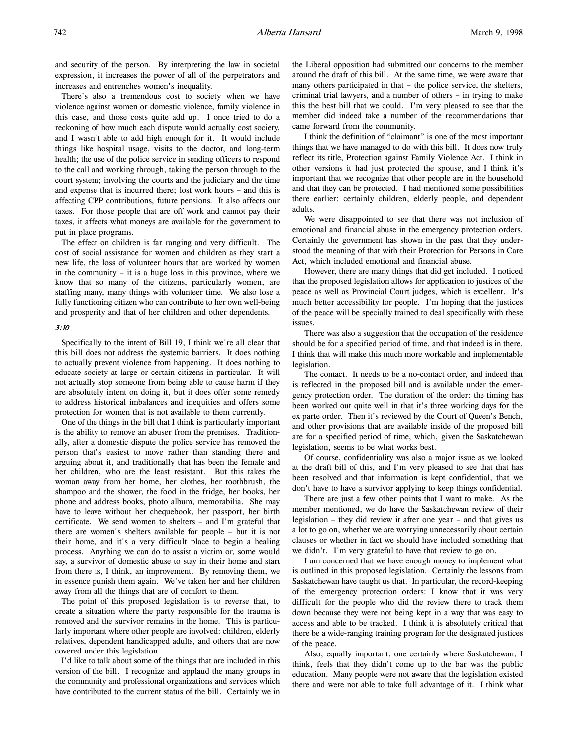and security of the person. By interpreting the law in societal expression, it increases the power of all of the perpetrators and increases and entrenches women's inequality.

There's also a tremendous cost to society when we have violence against women or domestic violence, family violence in this case, and those costs quite add up. I once tried to do a reckoning of how much each dispute would actually cost society, and I wasn't able to add high enough for it. It would include things like hospital usage, visits to the doctor, and long-term health; the use of the police service in sending officers to respond to the call and working through, taking the person through to the court system; involving the courts and the judiciary and the time and expense that is incurred there; lost work hours – and this is affecting CPP contributions, future pensions. It also affects our taxes. For those people that are off work and cannot pay their taxes, it affects what moneys are available for the government to put in place programs.

The effect on children is far ranging and very difficult. The cost of social assistance for women and children as they start a new life, the loss of volunteer hours that are worked by women in the community – it is a huge loss in this province, where we know that so many of the citizens, particularly women, are staffing many, many things with volunteer time. We also lose a fully functioning citizen who can contribute to her own well-being and prosperity and that of her children and other dependents.

# 3:10

Specifically to the intent of Bill 19, I think we're all clear that this bill does not address the systemic barriers. It does nothing to actually prevent violence from happening. It does nothing to educate society at large or certain citizens in particular. It will not actually stop someone from being able to cause harm if they are absolutely intent on doing it, but it does offer some remedy to address historical imbalances and inequities and offers some protection for women that is not available to them currently.

One of the things in the bill that I think is particularly important is the ability to remove an abuser from the premises. Traditionally, after a domestic dispute the police service has removed the person that's easiest to move rather than standing there and arguing about it, and traditionally that has been the female and her children, who are the least resistant. But this takes the woman away from her home, her clothes, her toothbrush, the shampoo and the shower, the food in the fridge, her books, her phone and address books, photo album, memorabilia. She may have to leave without her chequebook, her passport, her birth certificate. We send women to shelters – and I'm grateful that there are women's shelters available for people – but it is not their home, and it's a very difficult place to begin a healing process. Anything we can do to assist a victim or, some would say, a survivor of domestic abuse to stay in their home and start from there is, I think, an improvement. By removing them, we in essence punish them again. We've taken her and her children away from all the things that are of comfort to them.

The point of this proposed legislation is to reverse that, to create a situation where the party responsible for the trauma is removed and the survivor remains in the home. This is particularly important where other people are involved: children, elderly relatives, dependent handicapped adults, and others that are now covered under this legislation.

I'd like to talk about some of the things that are included in this version of the bill. I recognize and applaud the many groups in the community and professional organizations and services which have contributed to the current status of the bill. Certainly we in

the Liberal opposition had submitted our concerns to the member around the draft of this bill. At the same time, we were aware that many others participated in that – the police service, the shelters, criminal trial lawyers, and a number of others – in trying to make this the best bill that we could. I'm very pleased to see that the member did indeed take a number of the recommendations that came forward from the community.

I think the definition of "claimant" is one of the most important things that we have managed to do with this bill. It does now truly reflect its title, Protection against Family Violence Act. I think in other versions it had just protected the spouse, and I think it's important that we recognize that other people are in the household and that they can be protected. I had mentioned some possibilities there earlier: certainly children, elderly people, and dependent adults.

We were disappointed to see that there was not inclusion of emotional and financial abuse in the emergency protection orders. Certainly the government has shown in the past that they understood the meaning of that with their Protection for Persons in Care Act, which included emotional and financial abuse.

However, there are many things that did get included. I noticed that the proposed legislation allows for application to justices of the peace as well as Provincial Court judges, which is excellent. It's much better accessibility for people. I'm hoping that the justices of the peace will be specially trained to deal specifically with these issues.

There was also a suggestion that the occupation of the residence should be for a specified period of time, and that indeed is in there. I think that will make this much more workable and implementable legislation.

The contact. It needs to be a no-contact order, and indeed that is reflected in the proposed bill and is available under the emergency protection order. The duration of the order: the timing has been worked out quite well in that it's three working days for the ex parte order. Then it's reviewed by the Court of Queen's Bench, and other provisions that are available inside of the proposed bill are for a specified period of time, which, given the Saskatchewan legislation, seems to be what works best.

Of course, confidentiality was also a major issue as we looked at the draft bill of this, and I'm very pleased to see that that has been resolved and that information is kept confidential, that we don't have to have a survivor applying to keep things confidential.

There are just a few other points that I want to make. As the member mentioned, we do have the Saskatchewan review of their legislation – they did review it after one year – and that gives us a lot to go on, whether we are worrying unnecessarily about certain clauses or whether in fact we should have included something that we didn't. I'm very grateful to have that review to go on.

I am concerned that we have enough money to implement what is outlined in this proposed legislation. Certainly the lessons from Saskatchewan have taught us that. In particular, the record-keeping of the emergency protection orders: I know that it was very difficult for the people who did the review there to track them down because they were not being kept in a way that was easy to access and able to be tracked. I think it is absolutely critical that there be a wide-ranging training program for the designated justices of the peace.

Also, equally important, one certainly where Saskatchewan, I think, feels that they didn't come up to the bar was the public education. Many people were not aware that the legislation existed there and were not able to take full advantage of it. I think what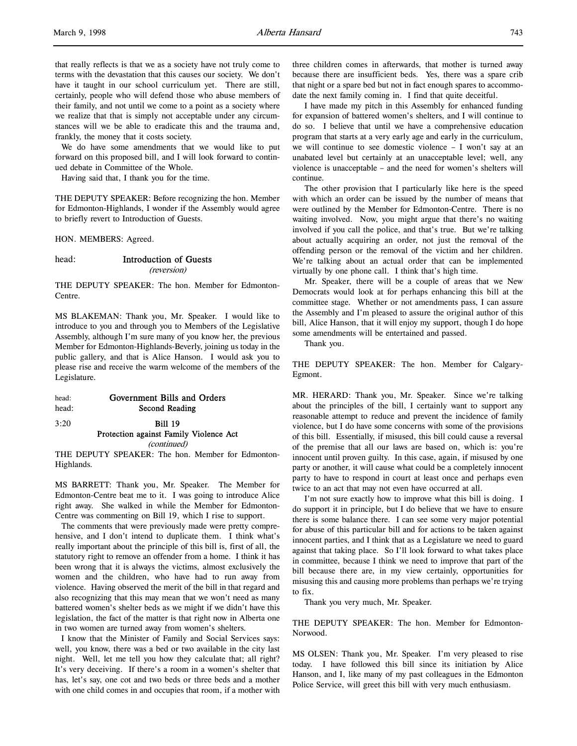that really reflects is that we as a society have not truly come to terms with the devastation that this causes our society. We don't have it taught in our school curriculum yet. There are still, certainly, people who will defend those who abuse members of their family, and not until we come to a point as a society where we realize that that is simply not acceptable under any circumstances will we be able to eradicate this and the trauma and, frankly, the money that it costs society.

We do have some amendments that we would like to put forward on this proposed bill, and I will look forward to continued debate in Committee of the Whole.

Having said that, I thank you for the time.

THE DEPUTY SPEAKER: Before recognizing the hon. Member for Edmonton-Highlands, I wonder if the Assembly would agree to briefly revert to Introduction of Guests.

HON. MEMBERS: Agreed.

# head: Introduction of Guests

(reversion)

THE DEPUTY SPEAKER: The hon. Member for Edmonton-Centre.

MS BLAKEMAN: Thank you, Mr. Speaker. I would like to introduce to you and through you to Members of the Legislative Assembly, although I'm sure many of you know her, the previous Member for Edmonton-Highlands-Beverly, joining us today in the public gallery, and that is Alice Hanson. I would ask you to please rise and receive the warm welcome of the members of the Legislature.

| head: | Government Bills and Orders |
|-------|-----------------------------|
| head: | Second Reading              |

3:20 Bill 19 Protection against Family Violence Act

(continued)

THE DEPUTY SPEAKER: The hon. Member for Edmonton-Highlands.

MS BARRETT: Thank you, Mr. Speaker. The Member for Edmonton-Centre beat me to it. I was going to introduce Alice right away. She walked in while the Member for Edmonton-Centre was commenting on Bill 19, which I rise to support.

The comments that were previously made were pretty comprehensive, and I don't intend to duplicate them. I think what's really important about the principle of this bill is, first of all, the statutory right to remove an offender from a home. I think it has been wrong that it is always the victims, almost exclusively the women and the children, who have had to run away from violence. Having observed the merit of the bill in that regard and also recognizing that this may mean that we won't need as many battered women's shelter beds as we might if we didn't have this legislation, the fact of the matter is that right now in Alberta one in two women are turned away from women's shelters.

I know that the Minister of Family and Social Services says: well, you know, there was a bed or two available in the city last night. Well, let me tell you how they calculate that; all right? It's very deceiving. If there's a room in a women's shelter that has, let's say, one cot and two beds or three beds and a mother with one child comes in and occupies that room, if a mother with

three children comes in afterwards, that mother is turned away because there are insufficient beds. Yes, there was a spare crib that night or a spare bed but not in fact enough spares to accommodate the next family coming in. I find that quite deceitful.

I have made my pitch in this Assembly for enhanced funding for expansion of battered women's shelters, and I will continue to do so. I believe that until we have a comprehensive education program that starts at a very early age and early in the curriculum, we will continue to see domestic violence – I won't say at an unabated level but certainly at an unacceptable level; well, any violence is unacceptable – and the need for women's shelters will continue.

The other provision that I particularly like here is the speed with which an order can be issued by the number of means that were outlined by the Member for Edmonton-Centre. There is no waiting involved. Now, you might argue that there's no waiting involved if you call the police, and that's true. But we're talking about actually acquiring an order, not just the removal of the offending person or the removal of the victim and her children. We're talking about an actual order that can be implemented virtually by one phone call. I think that's high time.

Mr. Speaker, there will be a couple of areas that we New Democrats would look at for perhaps enhancing this bill at the committee stage. Whether or not amendments pass, I can assure the Assembly and I'm pleased to assure the original author of this bill, Alice Hanson, that it will enjoy my support, though I do hope some amendments will be entertained and passed.

Thank you.

THE DEPUTY SPEAKER: The hon. Member for Calgary-Egmont.

MR. HERARD: Thank you, Mr. Speaker. Since we're talking about the principles of the bill, I certainly want to support any reasonable attempt to reduce and prevent the incidence of family violence, but I do have some concerns with some of the provisions of this bill. Essentially, if misused, this bill could cause a reversal of the premise that all our laws are based on, which is: you're innocent until proven guilty. In this case, again, if misused by one party or another, it will cause what could be a completely innocent party to have to respond in court at least once and perhaps even twice to an act that may not even have occurred at all.

I'm not sure exactly how to improve what this bill is doing. I do support it in principle, but I do believe that we have to ensure there is some balance there. I can see some very major potential for abuse of this particular bill and for actions to be taken against innocent parties, and I think that as a Legislature we need to guard against that taking place. So I'll look forward to what takes place in committee, because I think we need to improve that part of the bill because there are, in my view certainly, opportunities for misusing this and causing more problems than perhaps we're trying to fix.

Thank you very much, Mr. Speaker.

THE DEPUTY SPEAKER: The hon. Member for Edmonton-Norwood.

MS OLSEN: Thank you, Mr. Speaker. I'm very pleased to rise today. I have followed this bill since its initiation by Alice Hanson, and I, like many of my past colleagues in the Edmonton Police Service, will greet this bill with very much enthusiasm.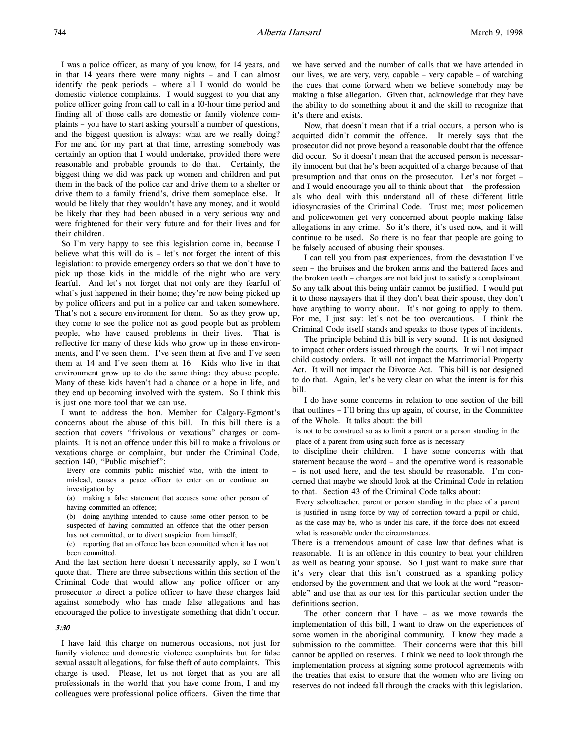I was a police officer, as many of you know, for 14 years, and in that 14 years there were many nights – and I can almost identify the peak periods – where all I would do would be domestic violence complaints. I would suggest to you that any police officer going from call to call in a 10-hour time period and finding all of those calls are domestic or family violence complaints – you have to start asking yourself a number of questions, and the biggest question is always: what are we really doing? For me and for my part at that time, arresting somebody was certainly an option that I would undertake, provided there were reasonable and probable grounds to do that. Certainly, the biggest thing we did was pack up women and children and put them in the back of the police car and drive them to a shelter or drive them to a family friend's, drive them someplace else. It would be likely that they wouldn't have any money, and it would be likely that they had been abused in a very serious way and were frightened for their very future and for their lives and for their children.

So I'm very happy to see this legislation come in, because I believe what this will do is – let's not forget the intent of this legislation: to provide emergency orders so that we don't have to pick up those kids in the middle of the night who are very fearful. And let's not forget that not only are they fearful of what's just happened in their home; they're now being picked up by police officers and put in a police car and taken somewhere. That's not a secure environment for them. So as they grow up, they come to see the police not as good people but as problem people, who have caused problems in their lives. That is reflective for many of these kids who grow up in these environments, and I've seen them. I've seen them at five and I've seen them at 14 and I've seen them at 16. Kids who live in that environment grow up to do the same thing: they abuse people. Many of these kids haven't had a chance or a hope in life, and they end up becoming involved with the system. So I think this is just one more tool that we can use.

I want to address the hon. Member for Calgary-Egmont's concerns about the abuse of this bill. In this bill there is a section that covers "frivolous or vexatious" charges or complaints. It is not an offence under this bill to make a frivolous or vexatious charge or complaint, but under the Criminal Code, section 140, "Public mischief":

Every one commits public mischief who, with the intent to mislead, causes a peace officer to enter on or continue an investigation by

(a) making a false statement that accuses some other person of having committed an offence;

(b) doing anything intended to cause some other person to be suspected of having committed an offence that the other person has not committed, or to divert suspicion from himself;

(c) reporting that an offence has been committed when it has not been committed.

And the last section here doesn't necessarily apply, so I won't quote that. There are three subsections within this section of the Criminal Code that would allow any police officer or any prosecutor to direct a police officer to have these charges laid against somebody who has made false allegations and has encouraged the police to investigate something that didn't occur.

# 3:30

I have laid this charge on numerous occasions, not just for family violence and domestic violence complaints but for false sexual assault allegations, for false theft of auto complaints. This charge is used. Please, let us not forget that as you are all professionals in the world that you have come from, I and my colleagues were professional police officers. Given the time that we have served and the number of calls that we have attended in our lives, we are very, very, capable – very capable – of watching the cues that come forward when we believe somebody may be making a false allegation. Given that, acknowledge that they have the ability to do something about it and the skill to recognize that it's there and exists.

Now, that doesn't mean that if a trial occurs, a person who is acquitted didn't commit the offence. It merely says that the prosecutor did not prove beyond a reasonable doubt that the offence did occur. So it doesn't mean that the accused person is necessarily innocent but that he's been acquitted of a charge because of that presumption and that onus on the prosecutor. Let's not forget – and I would encourage you all to think about that – the professionals who deal with this understand all of these different little idiosyncrasies of the Criminal Code. Trust me; most policemen and policewomen get very concerned about people making false allegations in any crime. So it's there, it's used now, and it will continue to be used. So there is no fear that people are going to be falsely accused of abusing their spouses.

I can tell you from past experiences, from the devastation I've seen – the bruises and the broken arms and the battered faces and the broken teeth – charges are not laid just to satisfy a complainant. So any talk about this being unfair cannot be justified. I would put it to those naysayers that if they don't beat their spouse, they don't have anything to worry about. It's not going to apply to them. For me, I just say: let's not be too overcautious. I think the Criminal Code itself stands and speaks to those types of incidents.

The principle behind this bill is very sound. It is not designed to impact other orders issued through the courts. It will not impact child custody orders. It will not impact the Matrimonial Property Act. It will not impact the Divorce Act. This bill is not designed to do that. Again, let's be very clear on what the intent is for this bill.

I do have some concerns in relation to one section of the bill that outlines – I'll bring this up again, of course, in the Committee of the Whole. It talks about: the bill

is not to be construed so as to limit a parent or a person standing in the place of a parent from using such force as is necessary

to discipline their children. I have some concerns with that statement because the word – and the operative word is reasonable – is not used here, and the test should be reasonable. I'm concerned that maybe we should look at the Criminal Code in relation to that. Section 43 of the Criminal Code talks about:

Every schoolteacher, parent or person standing in the place of a parent is justified in using force by way of correction toward a pupil or child, as the case may be, who is under his care, if the force does not exceed what is reasonable under the circumstances.

There is a tremendous amount of case law that defines what is reasonable. It is an offence in this country to beat your children as well as beating your spouse. So I just want to make sure that it's very clear that this isn't construed as a spanking policy endorsed by the government and that we look at the word "reasonable" and use that as our test for this particular section under the definitions section.

The other concern that I have – as we move towards the implementation of this bill, I want to draw on the experiences of some women in the aboriginal community. I know they made a submission to the committee. Their concerns were that this bill cannot be applied on reserves. I think we need to look through the implementation process at signing some protocol agreements with the treaties that exist to ensure that the women who are living on reserves do not indeed fall through the cracks with this legislation.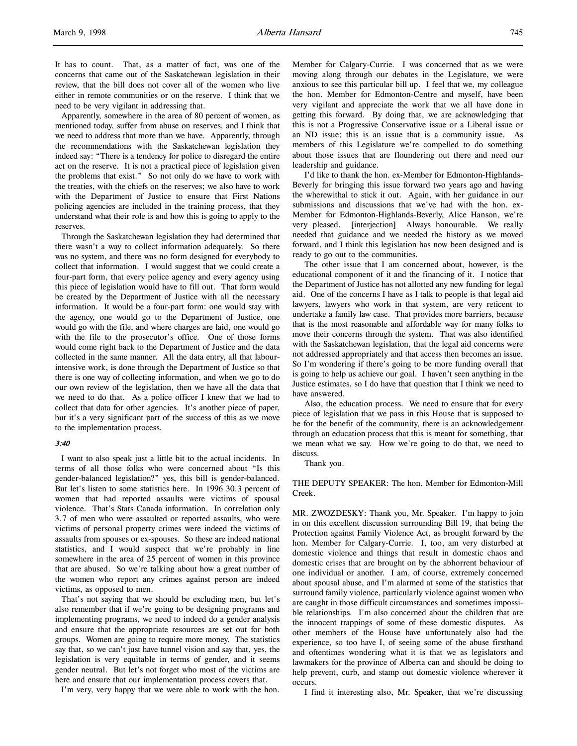It has to count. That, as a matter of fact, was one of the concerns that came out of the Saskatchewan legislation in their review, that the bill does not cover all of the women who live either in remote communities or on the reserve. I think that we need to be very vigilant in addressing that.

Apparently, somewhere in the area of 80 percent of women, as mentioned today, suffer from abuse on reserves, and I think that we need to address that more than we have. Apparently, through the recommendations with the Saskatchewan legislation they indeed say: "There is a tendency for police to disregard the entire act on the reserve. It is not a practical piece of legislation given the problems that exist." So not only do we have to work with the treaties, with the chiefs on the reserves; we also have to work with the Department of Justice to ensure that First Nations policing agencies are included in the training process, that they understand what their role is and how this is going to apply to the reserves.

Through the Saskatchewan legislation they had determined that there wasn't a way to collect information adequately. So there was no system, and there was no form designed for everybody to collect that information. I would suggest that we could create a four-part form, that every police agency and every agency using this piece of legislation would have to fill out. That form would be created by the Department of Justice with all the necessary information. It would be a four-part form: one would stay with the agency, one would go to the Department of Justice, one would go with the file, and where charges are laid, one would go with the file to the prosecutor's office. One of those forms would come right back to the Department of Justice and the data collected in the same manner. All the data entry, all that labourintensive work, is done through the Department of Justice so that there is one way of collecting information, and when we go to do our own review of the legislation, then we have all the data that we need to do that. As a police officer I knew that we had to collect that data for other agencies. It's another piece of paper, but it's a very significant part of the success of this as we move to the implementation process.

#### 3:40

I want to also speak just a little bit to the actual incidents. In terms of all those folks who were concerned about "Is this gender-balanced legislation?" yes, this bill is gender-balanced. But let's listen to some statistics here. In 1996 30.3 percent of women that had reported assaults were victims of spousal violence. That's Stats Canada information. In correlation only 3.7 of men who were assaulted or reported assaults, who were victims of personal property crimes were indeed the victims of assaults from spouses or ex-spouses. So these are indeed national statistics, and I would suspect that we're probably in line somewhere in the area of 25 percent of women in this province that are abused. So we're talking about how a great number of the women who report any crimes against person are indeed victims, as opposed to men.

That's not saying that we should be excluding men, but let's also remember that if we're going to be designing programs and implementing programs, we need to indeed do a gender analysis and ensure that the appropriate resources are set out for both groups. Women are going to require more money. The statistics say that, so we can't just have tunnel vision and say that, yes, the legislation is very equitable in terms of gender, and it seems gender neutral. But let's not forget who most of the victims are here and ensure that our implementation process covers that.

I'm very, very happy that we were able to work with the hon.

Member for Calgary-Currie. I was concerned that as we were moving along through our debates in the Legislature, we were anxious to see this particular bill up. I feel that we, my colleague the hon. Member for Edmonton-Centre and myself, have been very vigilant and appreciate the work that we all have done in getting this forward. By doing that, we are acknowledging that this is not a Progressive Conservative issue or a Liberal issue or an ND issue; this is an issue that is a community issue. As members of this Legislature we're compelled to do something about those issues that are floundering out there and need our leadership and guidance.

I'd like to thank the hon. ex-Member for Edmonton-Highlands-Beverly for bringing this issue forward two years ago and having the wherewithal to stick it out. Again, with her guidance in our submissions and discussions that we've had with the hon. ex-Member for Edmonton-Highlands-Beverly, Alice Hanson, we're very pleased. [interjection] Always honourable. We really needed that guidance and we needed the history as we moved forward, and I think this legislation has now been designed and is ready to go out to the communities.

The other issue that I am concerned about, however, is the educational component of it and the financing of it. I notice that the Department of Justice has not allotted any new funding for legal aid. One of the concerns I have as I talk to people is that legal aid lawyers, lawyers who work in that system, are very reticent to undertake a family law case. That provides more barriers, because that is the most reasonable and affordable way for many folks to move their concerns through the system. That was also identified with the Saskatchewan legislation, that the legal aid concerns were not addressed appropriately and that access then becomes an issue. So I'm wondering if there's going to be more funding overall that is going to help us achieve our goal. I haven't seen anything in the Justice estimates, so I do have that question that I think we need to have answered.

Also, the education process. We need to ensure that for every piece of legislation that we pass in this House that is supposed to be for the benefit of the community, there is an acknowledgement through an education process that this is meant for something, that we mean what we say. How we're going to do that, we need to discuss.

Thank you.

THE DEPUTY SPEAKER: The hon. Member for Edmonton-Mill Creek.

MR. ZWOZDESKY: Thank you, Mr. Speaker. I'm happy to join in on this excellent discussion surrounding Bill 19, that being the Protection against Family Violence Act, as brought forward by the hon. Member for Calgary-Currie. I, too, am very disturbed at domestic violence and things that result in domestic chaos and domestic crises that are brought on by the abhorrent behaviour of one individual or another. I am, of course, extremely concerned about spousal abuse, and I'm alarmed at some of the statistics that surround family violence, particularly violence against women who are caught in those difficult circumstances and sometimes impossible relationships. I'm also concerned about the children that are the innocent trappings of some of these domestic disputes. As other members of the House have unfortunately also had the experience, so too have I, of seeing some of the abuse firsthand and oftentimes wondering what it is that we as legislators and lawmakers for the province of Alberta can and should be doing to help prevent, curb, and stamp out domestic violence wherever it occurs.

I find it interesting also, Mr. Speaker, that we're discussing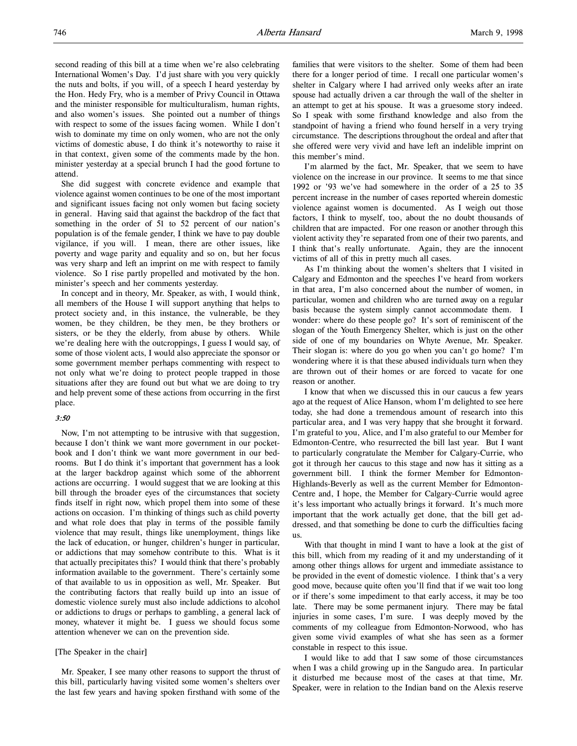second reading of this bill at a time when we're also celebrating International Women's Day. I'd just share with you very quickly the nuts and bolts, if you will, of a speech I heard yesterday by the Hon. Hedy Fry, who is a member of Privy Council in Ottawa and the minister responsible for multiculturalism, human rights, and also women's issues. She pointed out a number of things with respect to some of the issues facing women. While I don't wish to dominate my time on only women, who are not the only victims of domestic abuse, I do think it's noteworthy to raise it in that context, given some of the comments made by the hon. minister yesterday at a special brunch I had the good fortune to attend.

She did suggest with concrete evidence and example that violence against women continues to be one of the most important and significant issues facing not only women but facing society in general. Having said that against the backdrop of the fact that something in the order of 51 to 52 percent of our nation's population is of the female gender, I think we have to pay double vigilance, if you will. I mean, there are other issues, like poverty and wage parity and equality and so on, but her focus was very sharp and left an imprint on me with respect to family violence. So I rise partly propelled and motivated by the hon. minister's speech and her comments yesterday.

In concept and in theory, Mr. Speaker, as with, I would think, all members of the House I will support anything that helps to protect society and, in this instance, the vulnerable, be they women, be they children, be they men, be they brothers or sisters, or be they the elderly, from abuse by others. While we're dealing here with the outcroppings, I guess I would say, of some of those violent acts, I would also appreciate the sponsor or some government member perhaps commenting with respect to not only what we're doing to protect people trapped in those situations after they are found out but what we are doing to try and help prevent some of these actions from occurring in the first place.

# 3:50

Now, I'm not attempting to be intrusive with that suggestion, because I don't think we want more government in our pocketbook and I don't think we want more government in our bedrooms. But I do think it's important that government has a look at the larger backdrop against which some of the abhorrent actions are occurring. I would suggest that we are looking at this bill through the broader eyes of the circumstances that society finds itself in right now, which propel them into some of these actions on occasion. I'm thinking of things such as child poverty and what role does that play in terms of the possible family violence that may result, things like unemployment, things like the lack of education, or hunger, children's hunger in particular, or addictions that may somehow contribute to this. What is it that actually precipitates this? I would think that there's probably information available to the government. There's certainly some of that available to us in opposition as well, Mr. Speaker. But the contributing factors that really build up into an issue of domestic violence surely must also include addictions to alcohol or addictions to drugs or perhaps to gambling, a general lack of money, whatever it might be. I guess we should focus some attention whenever we can on the prevention side.

# [The Speaker in the chair]

Mr. Speaker, I see many other reasons to support the thrust of this bill, particularly having visited some women's shelters over the last few years and having spoken firsthand with some of the

families that were visitors to the shelter. Some of them had been there for a longer period of time. I recall one particular women's shelter in Calgary where I had arrived only weeks after an irate spouse had actually driven a car through the wall of the shelter in an attempt to get at his spouse. It was a gruesome story indeed. So I speak with some firsthand knowledge and also from the standpoint of having a friend who found herself in a very trying circumstance. The descriptions throughout the ordeal and after that she offered were very vivid and have left an indelible imprint on this member's mind.

I'm alarmed by the fact, Mr. Speaker, that we seem to have violence on the increase in our province. It seems to me that since 1992 or '93 we've had somewhere in the order of a 25 to 35 percent increase in the number of cases reported wherein domestic violence against women is documented. As I weigh out those factors, I think to myself, too, about the no doubt thousands of children that are impacted. For one reason or another through this violent activity they're separated from one of their two parents, and I think that's really unfortunate. Again, they are the innocent victims of all of this in pretty much all cases.

As I'm thinking about the women's shelters that I visited in Calgary and Edmonton and the speeches I've heard from workers in that area, I'm also concerned about the number of women, in particular, women and children who are turned away on a regular basis because the system simply cannot accommodate them. I wonder: where do these people go? It's sort of reminiscent of the slogan of the Youth Emergency Shelter, which is just on the other side of one of my boundaries on Whyte Avenue, Mr. Speaker. Their slogan is: where do you go when you can't go home? I'm wondering where it is that these abused individuals turn when they are thrown out of their homes or are forced to vacate for one reason or another.

I know that when we discussed this in our caucus a few years ago at the request of Alice Hanson, whom I'm delighted to see here today, she had done a tremendous amount of research into this particular area, and I was very happy that she brought it forward. I'm grateful to you, Alice, and I'm also grateful to our Member for Edmonton-Centre, who resurrected the bill last year. But I want to particularly congratulate the Member for Calgary-Currie, who got it through her caucus to this stage and now has it sitting as a government bill. I think the former Member for Edmonton-Highlands-Beverly as well as the current Member for Edmonton-Centre and, I hope, the Member for Calgary-Currie would agree it's less important who actually brings it forward. It's much more important that the work actually get done, that the bill get addressed, and that something be done to curb the difficulties facing us.

With that thought in mind I want to have a look at the gist of this bill, which from my reading of it and my understanding of it among other things allows for urgent and immediate assistance to be provided in the event of domestic violence. I think that's a very good move, because quite often you'll find that if we wait too long or if there's some impediment to that early access, it may be too late. There may be some permanent injury. There may be fatal injuries in some cases, I'm sure. I was deeply moved by the comments of my colleague from Edmonton-Norwood, who has given some vivid examples of what she has seen as a former constable in respect to this issue.

I would like to add that I saw some of those circumstances when I was a child growing up in the Sangudo area. In particular it disturbed me because most of the cases at that time, Mr. Speaker, were in relation to the Indian band on the Alexis reserve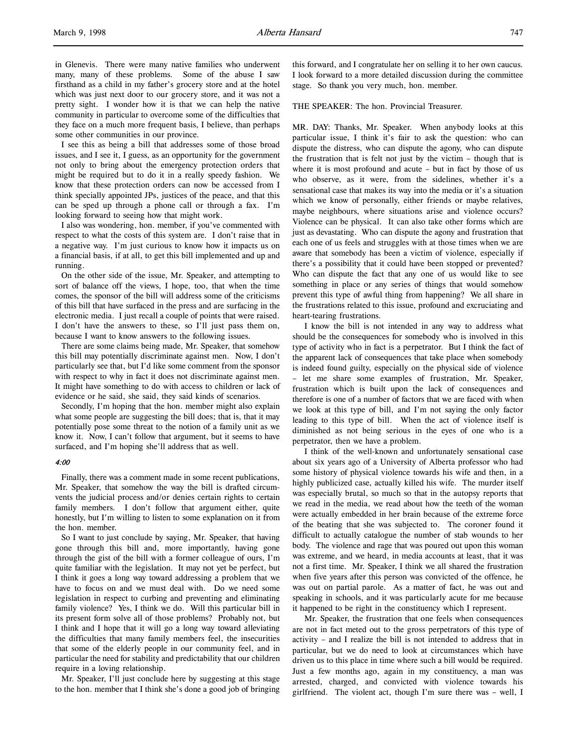in Glenevis. There were many native families who underwent many, many of these problems. Some of the abuse I saw firsthand as a child in my father's grocery store and at the hotel which was just next door to our grocery store, and it was not a pretty sight. I wonder how it is that we can help the native community in particular to overcome some of the difficulties that they face on a much more frequent basis, I believe, than perhaps some other communities in our province.

I see this as being a bill that addresses some of those broad issues, and I see it, I guess, as an opportunity for the government not only to bring about the emergency protection orders that might be required but to do it in a really speedy fashion. We know that these protection orders can now be accessed from I think specially appointed JPs, justices of the peace, and that this can be sped up through a phone call or through a fax. I'm looking forward to seeing how that might work.

I also was wondering, hon. member, if you've commented with respect to what the costs of this system are. I don't raise that in a negative way. I'm just curious to know how it impacts us on a financial basis, if at all, to get this bill implemented and up and running.

On the other side of the issue, Mr. Speaker, and attempting to sort of balance off the views, I hope, too, that when the time comes, the sponsor of the bill will address some of the criticisms of this bill that have surfaced in the press and are surfacing in the electronic media. I just recall a couple of points that were raised. I don't have the answers to these, so I'll just pass them on, because I want to know answers to the following issues.

There are some claims being made, Mr. Speaker, that somehow this bill may potentially discriminate against men. Now, I don't particularly see that, but I'd like some comment from the sponsor with respect to why in fact it does not discriminate against men. It might have something to do with access to children or lack of evidence or he said, she said, they said kinds of scenarios.

Secondly, I'm hoping that the hon. member might also explain what some people are suggesting the bill does; that is, that it may potentially pose some threat to the notion of a family unit as we know it. Now, I can't follow that argument, but it seems to have surfaced, and I'm hoping she'll address that as well.

# 4:00

Finally, there was a comment made in some recent publications, Mr. Speaker, that somehow the way the bill is drafted circumvents the judicial process and/or denies certain rights to certain family members. I don't follow that argument either, quite honestly, but I'm willing to listen to some explanation on it from the hon. member.

So I want to just conclude by saying, Mr. Speaker, that having gone through this bill and, more importantly, having gone through the gist of the bill with a former colleague of ours, I'm quite familiar with the legislation. It may not yet be perfect, but I think it goes a long way toward addressing a problem that we have to focus on and we must deal with. Do we need some legislation in respect to curbing and preventing and eliminating family violence? Yes, I think we do. Will this particular bill in its present form solve all of those problems? Probably not, but I think and I hope that it will go a long way toward alleviating the difficulties that many family members feel, the insecurities that some of the elderly people in our community feel, and in particular the need for stability and predictability that our children require in a loving relationship.

Mr. Speaker, I'll just conclude here by suggesting at this stage to the hon. member that I think she's done a good job of bringing this forward, and I congratulate her on selling it to her own caucus. I look forward to a more detailed discussion during the committee stage. So thank you very much, hon. member.

THE SPEAKER: The hon. Provincial Treasurer.

MR. DAY: Thanks, Mr. Speaker. When anybody looks at this particular issue, I think it's fair to ask the question: who can dispute the distress, who can dispute the agony, who can dispute the frustration that is felt not just by the victim – though that is where it is most profound and acute – but in fact by those of us who observe, as it were, from the sidelines, whether it's a sensational case that makes its way into the media or it's a situation which we know of personally, either friends or maybe relatives, maybe neighbours, where situations arise and violence occurs? Violence can be physical. It can also take other forms which are just as devastating. Who can dispute the agony and frustration that each one of us feels and struggles with at those times when we are aware that somebody has been a victim of violence, especially if there's a possibility that it could have been stopped or prevented? Who can dispute the fact that any one of us would like to see something in place or any series of things that would somehow prevent this type of awful thing from happening? We all share in the frustrations related to this issue, profound and excruciating and heart-tearing frustrations.

I know the bill is not intended in any way to address what should be the consequences for somebody who is involved in this type of activity who in fact is a perpetrator. But I think the fact of the apparent lack of consequences that take place when somebody is indeed found guilty, especially on the physical side of violence – let me share some examples of frustration, Mr. Speaker, frustration which is built upon the lack of consequences and therefore is one of a number of factors that we are faced with when we look at this type of bill, and I'm not saying the only factor leading to this type of bill. When the act of violence itself is diminished as not being serious in the eyes of one who is a perpetrator, then we have a problem.

I think of the well-known and unfortunately sensational case about six years ago of a University of Alberta professor who had some history of physical violence towards his wife and then, in a highly publicized case, actually killed his wife. The murder itself was especially brutal, so much so that in the autopsy reports that we read in the media, we read about how the teeth of the woman were actually embedded in her brain because of the extreme force of the beating that she was subjected to. The coroner found it difficult to actually catalogue the number of stab wounds to her body. The violence and rage that was poured out upon this woman was extreme, and we heard, in media accounts at least, that it was not a first time. Mr. Speaker, I think we all shared the frustration when five years after this person was convicted of the offence, he was out on partial parole. As a matter of fact, he was out and speaking in schools, and it was particularly acute for me because it happened to be right in the constituency which I represent.

Mr. Speaker, the frustration that one feels when consequences are not in fact meted out to the gross perpetrators of this type of activity – and I realize the bill is not intended to address that in particular, but we do need to look at circumstances which have driven us to this place in time where such a bill would be required. Just a few months ago, again in my constituency, a man was arrested, charged, and convicted with violence towards his girlfriend. The violent act, though I'm sure there was – well, I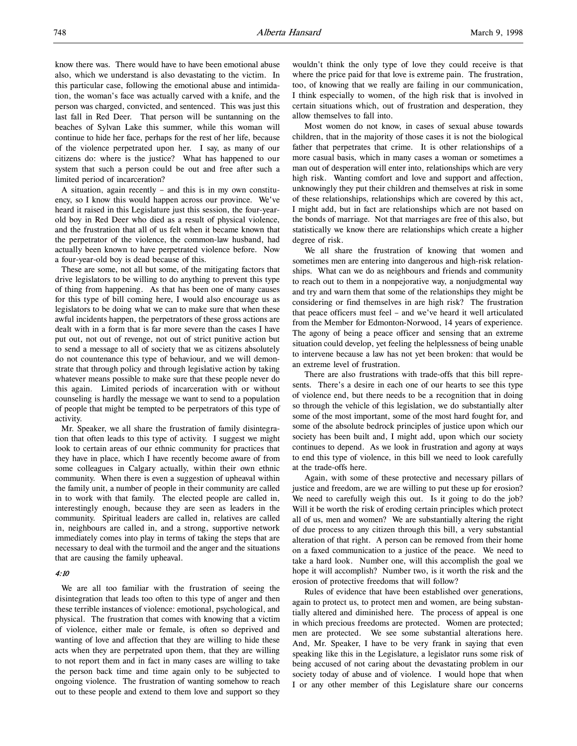know there was. There would have to have been emotional abuse also, which we understand is also devastating to the victim. In this particular case, following the emotional abuse and intimidation, the woman's face was actually carved with a knife, and the person was charged, convicted, and sentenced. This was just this last fall in Red Deer. That person will be suntanning on the beaches of Sylvan Lake this summer, while this woman will continue to hide her face, perhaps for the rest of her life, because of the violence perpetrated upon her. I say, as many of our citizens do: where is the justice? What has happened to our system that such a person could be out and free after such a limited period of incarceration?

A situation, again recently – and this is in my own constituency, so I know this would happen across our province. We've heard it raised in this Legislature just this session, the four-yearold boy in Red Deer who died as a result of physical violence, and the frustration that all of us felt when it became known that the perpetrator of the violence, the common-law husband, had actually been known to have perpetrated violence before. Now a four-year-old boy is dead because of this.

These are some, not all but some, of the mitigating factors that drive legislators to be willing to do anything to prevent this type of thing from happening. As that has been one of many causes for this type of bill coming here, I would also encourage us as legislators to be doing what we can to make sure that when these awful incidents happen, the perpetrators of these gross actions are dealt with in a form that is far more severe than the cases I have put out, not out of revenge, not out of strict punitive action but to send a message to all of society that we as citizens absolutely do not countenance this type of behaviour, and we will demonstrate that through policy and through legislative action by taking whatever means possible to make sure that these people never do this again. Limited periods of incarceration with or without counseling is hardly the message we want to send to a population of people that might be tempted to be perpetrators of this type of activity.

Mr. Speaker, we all share the frustration of family disintegration that often leads to this type of activity. I suggest we might look to certain areas of our ethnic community for practices that they have in place, which I have recently become aware of from some colleagues in Calgary actually, within their own ethnic community. When there is even a suggestion of upheaval within the family unit, a number of people in their community are called in to work with that family. The elected people are called in, interestingly enough, because they are seen as leaders in the community. Spiritual leaders are called in, relatives are called in, neighbours are called in, and a strong, supportive network immediately comes into play in terms of taking the steps that are necessary to deal with the turmoil and the anger and the situations that are causing the family upheaval.

# 4:10

We are all too familiar with the frustration of seeing the disintegration that leads too often to this type of anger and then these terrible instances of violence: emotional, psychological, and physical. The frustration that comes with knowing that a victim of violence, either male or female, is often so deprived and wanting of love and affection that they are willing to hide these acts when they are perpetrated upon them, that they are willing to not report them and in fact in many cases are willing to take the person back time and time again only to be subjected to ongoing violence. The frustration of wanting somehow to reach out to these people and extend to them love and support so they

wouldn't think the only type of love they could receive is that where the price paid for that love is extreme pain. The frustration, too, of knowing that we really are failing in our communication, I think especially to women, of the high risk that is involved in certain situations which, out of frustration and desperation, they allow themselves to fall into.

Most women do not know, in cases of sexual abuse towards children, that in the majority of those cases it is not the biological father that perpetrates that crime. It is other relationships of a more casual basis, which in many cases a woman or sometimes a man out of desperation will enter into, relationships which are very high risk. Wanting comfort and love and support and affection, unknowingly they put their children and themselves at risk in some of these relationships, relationships which are covered by this act, I might add, but in fact are relationships which are not based on the bonds of marriage. Not that marriages are free of this also, but statistically we know there are relationships which create a higher degree of risk.

We all share the frustration of knowing that women and sometimes men are entering into dangerous and high-risk relationships. What can we do as neighbours and friends and community to reach out to them in a nonpejorative way, a nonjudgmental way and try and warn them that some of the relationships they might be considering or find themselves in are high risk? The frustration that peace officers must feel – and we've heard it well articulated from the Member for Edmonton-Norwood, 14 years of experience. The agony of being a peace officer and sensing that an extreme situation could develop, yet feeling the helplessness of being unable to intervene because a law has not yet been broken: that would be an extreme level of frustration.

There are also frustrations with trade-offs that this bill represents. There's a desire in each one of our hearts to see this type of violence end, but there needs to be a recognition that in doing so through the vehicle of this legislation, we do substantially alter some of the most important, some of the most hard fought for, and some of the absolute bedrock principles of justice upon which our society has been built and, I might add, upon which our society continues to depend. As we look in frustration and agony at ways to end this type of violence, in this bill we need to look carefully at the trade-offs here.

Again, with some of these protective and necessary pillars of justice and freedom, are we are willing to put these up for erosion? We need to carefully weigh this out. Is it going to do the job? Will it be worth the risk of eroding certain principles which protect all of us, men and women? We are substantially altering the right of due process to any citizen through this bill, a very substantial alteration of that right. A person can be removed from their home on a faxed communication to a justice of the peace. We need to take a hard look. Number one, will this accomplish the goal we hope it will accomplish? Number two, is it worth the risk and the erosion of protective freedoms that will follow?

Rules of evidence that have been established over generations, again to protect us, to protect men and women, are being substantially altered and diminished here. The process of appeal is one in which precious freedoms are protected. Women are protected; men are protected. We see some substantial alterations here. And, Mr. Speaker, I have to be very frank in saying that even speaking like this in the Legislature, a legislator runs some risk of being accused of not caring about the devastating problem in our society today of abuse and of violence. I would hope that when I or any other member of this Legislature share our concerns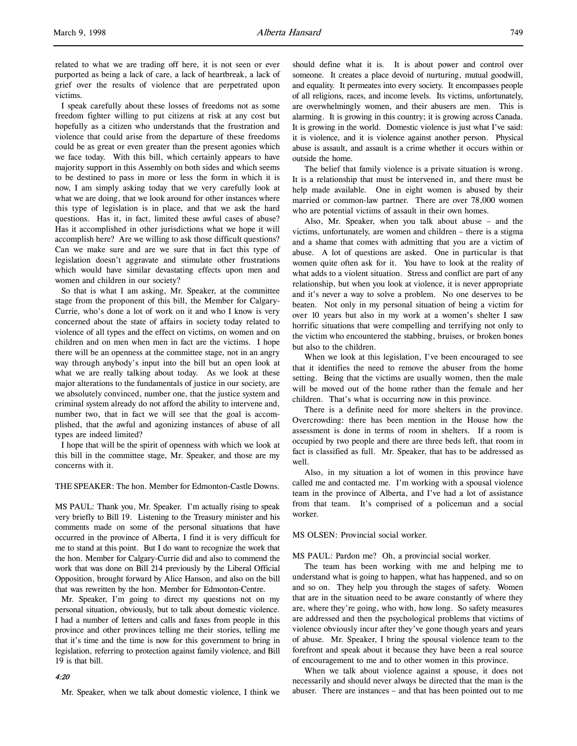I speak carefully about these losses of freedoms not as some freedom fighter willing to put citizens at risk at any cost but hopefully as a citizen who understands that the frustration and violence that could arise from the departure of these freedoms could be as great or even greater than the present agonies which we face today. With this bill, which certainly appears to have majority support in this Assembly on both sides and which seems to be destined to pass in more or less the form in which it is now, I am simply asking today that we very carefully look at what we are doing, that we look around for other instances where this type of legislation is in place, and that we ask the hard questions. Has it, in fact, limited these awful cases of abuse? Has it accomplished in other jurisdictions what we hope it will accomplish here? Are we willing to ask those difficult questions? Can we make sure and are we sure that in fact this type of legislation doesn't aggravate and stimulate other frustrations which would have similar devastating effects upon men and women and children in our society?

So that is what I am asking, Mr. Speaker, at the committee stage from the proponent of this bill, the Member for Calgary-Currie, who's done a lot of work on it and who I know is very concerned about the state of affairs in society today related to violence of all types and the effect on victims, on women and on children and on men when men in fact are the victims. I hope there will be an openness at the committee stage, not in an angry way through anybody's input into the bill but an open look at what we are really talking about today. As we look at these major alterations to the fundamentals of justice in our society, are we absolutely convinced, number one, that the justice system and criminal system already do not afford the ability to intervene and, number two, that in fact we will see that the goal is accomplished, that the awful and agonizing instances of abuse of all types are indeed limited?

I hope that will be the spirit of openness with which we look at this bill in the committee stage, Mr. Speaker, and those are my concerns with it.

THE SPEAKER: The hon. Member for Edmonton-Castle Downs.

MS PAUL: Thank you, Mr. Speaker. I'm actually rising to speak very briefly to Bill 19. Listening to the Treasury minister and his comments made on some of the personal situations that have occurred in the province of Alberta, I find it is very difficult for me to stand at this point. But I do want to recognize the work that the hon. Member for Calgary-Currie did and also to commend the work that was done on Bill 214 previously by the Liberal Official Opposition, brought forward by Alice Hanson, and also on the bill that was rewritten by the hon. Member for Edmonton-Centre.

Mr. Speaker, I'm going to direct my questions not on my personal situation, obviously, but to talk about domestic violence. I had a number of letters and calls and faxes from people in this province and other provinces telling me their stories, telling me that it's time and the time is now for this government to bring in legislation, referring to protection against family violence, and Bill 19 is that bill.

#### 4:20

Mr. Speaker, when we talk about domestic violence, I think we

should define what it is. It is about power and control over someone. It creates a place devoid of nurturing, mutual goodwill, and equality. It permeates into every society. It encompasses people of all religions, races, and income levels. Its victims, unfortunately, are overwhelmingly women, and their abusers are men. This is alarming. It is growing in this country; it is growing across Canada. It is growing in the world. Domestic violence is just what I've said: it is violence, and it is violence against another person. Physical abuse is assault, and assault is a crime whether it occurs within or outside the home.

The belief that family violence is a private situation is wrong. It is a relationship that must be intervened in, and there must be help made available. One in eight women is abused by their married or common-law partner. There are over 78,000 women who are potential victims of assault in their own homes.

Also, Mr. Speaker, when you talk about abuse – and the victims, unfortunately, are women and children – there is a stigma and a shame that comes with admitting that you are a victim of abuse. A lot of questions are asked. One in particular is that women quite often ask for it. You have to look at the reality of what adds to a violent situation. Stress and conflict are part of any relationship, but when you look at violence, it is never appropriate and it's never a way to solve a problem. No one deserves to be beaten. Not only in my personal situation of being a victim for over 10 years but also in my work at a women's shelter I saw horrific situations that were compelling and terrifying not only to the victim who encountered the stabbing, bruises, or broken bones but also to the children.

When we look at this legislation, I've been encouraged to see that it identifies the need to remove the abuser from the home setting. Being that the victims are usually women, then the male will be moved out of the home rather than the female and her children. That's what is occurring now in this province.

There is a definite need for more shelters in the province. Overcrowding: there has been mention in the House how the assessment is done in terms of room in shelters. If a room is occupied by two people and there are three beds left, that room in fact is classified as full. Mr. Speaker, that has to be addressed as well.

Also, in my situation a lot of women in this province have called me and contacted me. I'm working with a spousal violence team in the province of Alberta, and I've had a lot of assistance from that team. It's comprised of a policeman and a social worker.

MS OLSEN: Provincial social worker.

MS PAUL: Pardon me? Oh, a provincial social worker.

The team has been working with me and helping me to understand what is going to happen, what has happened, and so on and so on. They help you through the stages of safety. Women that are in the situation need to be aware constantly of where they are, where they're going, who with, how long. So safety measures are addressed and then the psychological problems that victims of violence obviously incur after they've gone though years and years of abuse. Mr. Speaker, I bring the spousal violence team to the forefront and speak about it because they have been a real source of encouragement to me and to other women in this province.

When we talk about violence against a spouse, it does not necessarily and should never always be directed that the man is the abuser. There are instances – and that has been pointed out to me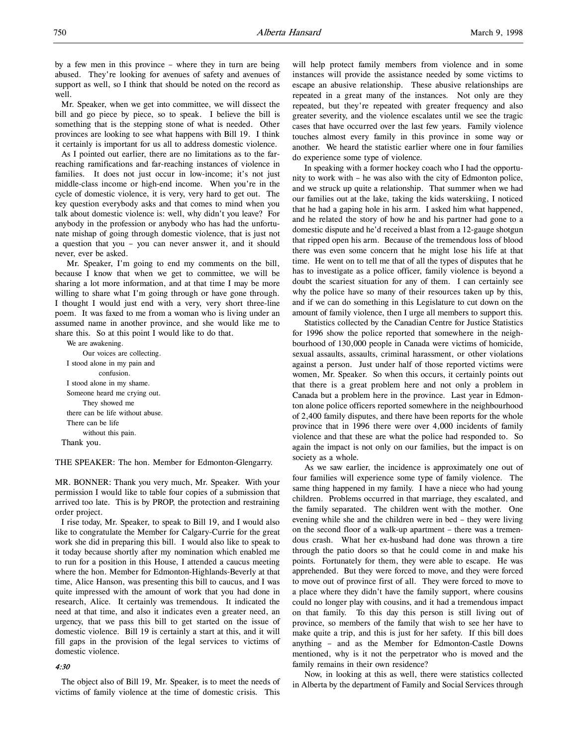by a few men in this province – where they in turn are being abused. They're looking for avenues of safety and avenues of support as well, so I think that should be noted on the record as well.

Mr. Speaker, when we get into committee, we will dissect the bill and go piece by piece, so to speak. I believe the bill is something that is the stepping stone of what is needed. Other provinces are looking to see what happens with Bill 19. I think it certainly is important for us all to address domestic violence.

As I pointed out earlier, there are no limitations as to the farreaching ramifications and far-reaching instances of violence in families. It does not just occur in low-income; it's not just middle-class income or high-end income. When you're in the cycle of domestic violence, it is very, very hard to get out. The key question everybody asks and that comes to mind when you talk about domestic violence is: well, why didn't you leave? For anybody in the profession or anybody who has had the unfortunate mishap of going through domestic violence, that is just not a question that you – you can never answer it, and it should never, ever be asked.

Mr. Speaker, I'm going to end my comments on the bill, because I know that when we get to committee, we will be sharing a lot more information, and at that time I may be more willing to share what I'm going through or have gone through. I thought I would just end with a very, very short three-line poem. It was faxed to me from a woman who is living under an assumed name in another province, and she would like me to share this. So at this point I would like to do that.

We are awakening. Our voices are collecting. I stood alone in my pain and confusion. I stood alone in my shame. Someone heard me crying out. They showed me there can be life without abuse. There can be life without this pain. Thank you.

THE SPEAKER: The hon. Member for Edmonton-Glengarry.

MR. BONNER: Thank you very much, Mr. Speaker. With your permission I would like to table four copies of a submission that arrived too late. This is by PROP, the protection and restraining order project.

I rise today, Mr. Speaker, to speak to Bill 19, and I would also like to congratulate the Member for Calgary-Currie for the great work she did in preparing this bill. I would also like to speak to it today because shortly after my nomination which enabled me to run for a position in this House, I attended a caucus meeting where the hon. Member for Edmonton-Highlands-Beverly at that time, Alice Hanson, was presenting this bill to caucus, and I was quite impressed with the amount of work that you had done in research, Alice. It certainly was tremendous. It indicated the need at that time, and also it indicates even a greater need, an urgency, that we pass this bill to get started on the issue of domestic violence. Bill 19 is certainly a start at this, and it will fill gaps in the provision of the legal services to victims of domestic violence.

# $4.30$

The object also of Bill 19, Mr. Speaker, is to meet the needs of victims of family violence at the time of domestic crisis. This

will help protect family members from violence and in some instances will provide the assistance needed by some victims to escape an abusive relationship. These abusive relationships are repeated in a great many of the instances. Not only are they repeated, but they're repeated with greater frequency and also greater severity, and the violence escalates until we see the tragic cases that have occurred over the last few years. Family violence touches almost every family in this province in some way or another. We heard the statistic earlier where one in four families do experience some type of violence.

In speaking with a former hockey coach who I had the opportunity to work with – he was also with the city of Edmonton police, and we struck up quite a relationship. That summer when we had our families out at the lake, taking the kids waterskiing, I noticed that he had a gaping hole in his arm. I asked him what happened, and he related the story of how he and his partner had gone to a domestic dispute and he'd received a blast from a 12-gauge shotgun that ripped open his arm. Because of the tremendous loss of blood there was even some concern that he might lose his life at that time. He went on to tell me that of all the types of disputes that he has to investigate as a police officer, family violence is beyond a doubt the scariest situation for any of them. I can certainly see why the police have so many of their resources taken up by this, and if we can do something in this Legislature to cut down on the amount of family violence, then I urge all members to support this.

Statistics collected by the Canadian Centre for Justice Statistics for 1996 show the police reported that somewhere in the neighbourhood of 130,000 people in Canada were victims of homicide, sexual assaults, assaults, criminal harassment, or other violations against a person. Just under half of those reported victims were women, Mr. Speaker. So when this occurs, it certainly points out that there is a great problem here and not only a problem in Canada but a problem here in the province. Last year in Edmonton alone police officers reported somewhere in the neighbourhood of 2,400 family disputes, and there have been reports for the whole province that in 1996 there were over 4,000 incidents of family violence and that these are what the police had responded to. So again the impact is not only on our families, but the impact is on society as a whole.

As we saw earlier, the incidence is approximately one out of four families will experience some type of family violence. The same thing happened in my family. I have a niece who had young children. Problems occurred in that marriage, they escalated, and the family separated. The children went with the mother. One evening while she and the children were in bed – they were living on the second floor of a walk-up apartment – there was a tremendous crash. What her ex-husband had done was thrown a tire through the patio doors so that he could come in and make his points. Fortunately for them, they were able to escape. He was apprehended. But they were forced to move, and they were forced to move out of province first of all. They were forced to move to a place where they didn't have the family support, where cousins could no longer play with cousins, and it had a tremendous impact on that family. To this day this person is still living out of province, so members of the family that wish to see her have to make quite a trip, and this is just for her safety. If this bill does anything – and as the Member for Edmonton-Castle Downs mentioned, why is it not the perpetrator who is moved and the family remains in their own residence?

Now, in looking at this as well, there were statistics collected in Alberta by the department of Family and Social Services through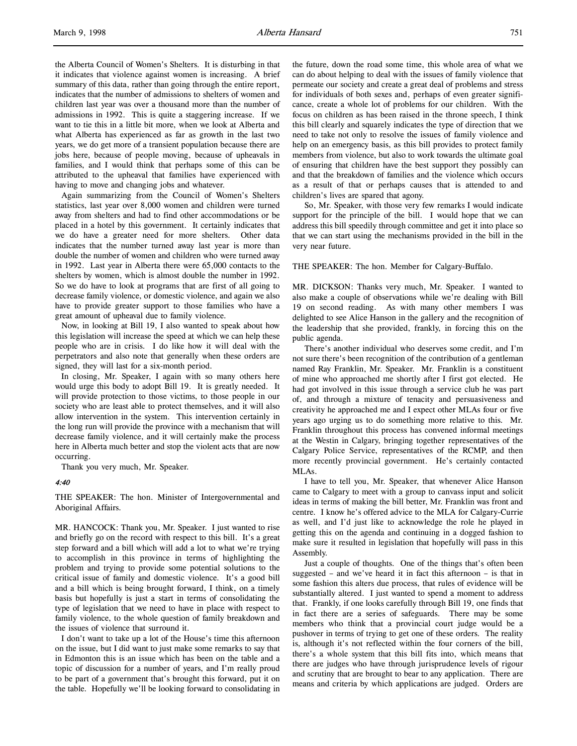the Alberta Council of Women's Shelters. It is disturbing in that it indicates that violence against women is increasing. A brief summary of this data, rather than going through the entire report, indicates that the number of admissions to shelters of women and children last year was over a thousand more than the number of admissions in 1992. This is quite a staggering increase. If we want to tie this in a little bit more, when we look at Alberta and what Alberta has experienced as far as growth in the last two years, we do get more of a transient population because there are jobs here, because of people moving, because of upheavals in families, and I would think that perhaps some of this can be attributed to the upheaval that families have experienced with having to move and changing jobs and whatever.

Again summarizing from the Council of Women's Shelters statistics, last year over 8,000 women and children were turned away from shelters and had to find other accommodations or be placed in a hotel by this government. It certainly indicates that we do have a greater need for more shelters. Other data indicates that the number turned away last year is more than double the number of women and children who were turned away in 1992. Last year in Alberta there were 65,000 contacts to the shelters by women, which is almost double the number in 1992. So we do have to look at programs that are first of all going to decrease family violence, or domestic violence, and again we also have to provide greater support to those families who have a great amount of upheaval due to family violence.

Now, in looking at Bill 19, I also wanted to speak about how this legislation will increase the speed at which we can help these people who are in crisis. I do like how it will deal with the perpetrators and also note that generally when these orders are signed, they will last for a six-month period.

In closing, Mr. Speaker, I again with so many others here would urge this body to adopt Bill 19. It is greatly needed. It will provide protection to those victims, to those people in our society who are least able to protect themselves, and it will also allow intervention in the system. This intervention certainly in the long run will provide the province with a mechanism that will decrease family violence, and it will certainly make the process here in Alberta much better and stop the violent acts that are now occurring.

Thank you very much, Mr. Speaker.

4:40

THE SPEAKER: The hon. Minister of Intergovernmental and Aboriginal Affairs.

MR. HANCOCK: Thank you, Mr. Speaker. I just wanted to rise and briefly go on the record with respect to this bill. It's a great step forward and a bill which will add a lot to what we're trying to accomplish in this province in terms of highlighting the problem and trying to provide some potential solutions to the critical issue of family and domestic violence. It's a good bill and a bill which is being brought forward, I think, on a timely basis but hopefully is just a start in terms of consolidating the type of legislation that we need to have in place with respect to family violence, to the whole question of family breakdown and the issues of violence that surround it.

I don't want to take up a lot of the House's time this afternoon on the issue, but I did want to just make some remarks to say that in Edmonton this is an issue which has been on the table and a topic of discussion for a number of years, and I'm really proud to be part of a government that's brought this forward, put it on the table. Hopefully we'll be looking forward to consolidating in

the future, down the road some time, this whole area of what we can do about helping to deal with the issues of family violence that permeate our society and create a great deal of problems and stress for individuals of both sexes and, perhaps of even greater significance, create a whole lot of problems for our children. With the focus on children as has been raised in the throne speech, I think this bill clearly and squarely indicates the type of direction that we need to take not only to resolve the issues of family violence and help on an emergency basis, as this bill provides to protect family members from violence, but also to work towards the ultimate goal of ensuring that children have the best support they possibly can and that the breakdown of families and the violence which occurs as a result of that or perhaps causes that is attended to and children's lives are spared that agony.

So, Mr. Speaker, with those very few remarks I would indicate support for the principle of the bill. I would hope that we can address this bill speedily through committee and get it into place so that we can start using the mechanisms provided in the bill in the very near future.

THE SPEAKER: The hon. Member for Calgary-Buffalo.

MR. DICKSON: Thanks very much, Mr. Speaker. I wanted to also make a couple of observations while we're dealing with Bill 19 on second reading. As with many other members I was delighted to see Alice Hanson in the gallery and the recognition of the leadership that she provided, frankly, in forcing this on the public agenda.

There's another individual who deserves some credit, and I'm not sure there's been recognition of the contribution of a gentleman named Ray Franklin, Mr. Speaker. Mr. Franklin is a constituent of mine who approached me shortly after I first got elected. He had got involved in this issue through a service club he was part of, and through a mixture of tenacity and persuasiveness and creativity he approached me and I expect other MLAs four or five years ago urging us to do something more relative to this. Mr. Franklin throughout this process has convened informal meetings at the Westin in Calgary, bringing together representatives of the Calgary Police Service, representatives of the RCMP, and then more recently provincial government. He's certainly contacted MLAs.

I have to tell you, Mr. Speaker, that whenever Alice Hanson came to Calgary to meet with a group to canvass input and solicit ideas in terms of making the bill better, Mr. Franklin was front and centre. I know he's offered advice to the MLA for Calgary-Currie as well, and I'd just like to acknowledge the role he played in getting this on the agenda and continuing in a dogged fashion to make sure it resulted in legislation that hopefully will pass in this Assembly.

Just a couple of thoughts. One of the things that's often been suggested – and we've heard it in fact this afternoon – is that in some fashion this alters due process, that rules of evidence will be substantially altered. I just wanted to spend a moment to address that. Frankly, if one looks carefully through Bill 19, one finds that in fact there are a series of safeguards. There may be some members who think that a provincial court judge would be a pushover in terms of trying to get one of these orders. The reality is, although it's not reflected within the four corners of the bill, there's a whole system that this bill fits into, which means that there are judges who have through jurisprudence levels of rigour and scrutiny that are brought to bear to any application. There are means and criteria by which applications are judged. Orders are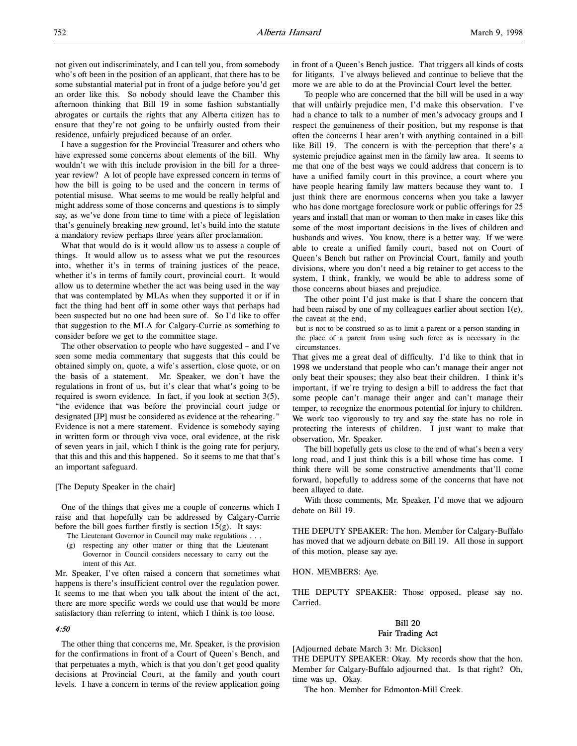I have a suggestion for the Provincial Treasurer and others who have expressed some concerns about elements of the bill. Why wouldn't we with this include provision in the bill for a threeyear review? A lot of people have expressed concern in terms of how the bill is going to be used and the concern in terms of potential misuse. What seems to me would be really helpful and might address some of those concerns and questions is to simply say, as we've done from time to time with a piece of legislation that's genuinely breaking new ground, let's build into the statute a mandatory review perhaps three years after proclamation.

What that would do is it would allow us to assess a couple of things. It would allow us to assess what we put the resources into, whether it's in terms of training justices of the peace, whether it's in terms of family court, provincial court. It would allow us to determine whether the act was being used in the way that was contemplated by MLAs when they supported it or if in fact the thing had bent off in some other ways that perhaps had been suspected but no one had been sure of. So I'd like to offer that suggestion to the MLA for Calgary-Currie as something to consider before we get to the committee stage.

The other observation to people who have suggested – and I've seen some media commentary that suggests that this could be obtained simply on, quote, a wife's assertion, close quote, or on the basis of a statement. Mr. Speaker, we don't have the regulations in front of us, but it's clear that what's going to be required is sworn evidence. In fact, if you look at section 3(5), "the evidence that was before the provincial court judge or designated [JP] must be considered as evidence at the rehearing." Evidence is not a mere statement. Evidence is somebody saying in written form or through viva voce, oral evidence, at the risk of seven years in jail, which I think is the going rate for perjury, that this and this and this happened. So it seems to me that that's an important safeguard.

# [The Deputy Speaker in the chair]

One of the things that gives me a couple of concerns which I raise and that hopefully can be addressed by Calgary-Currie before the bill goes further firstly is section 15(g). It says:

- The Lieutenant Governor in Council may make regulations . . .
- (g) respecting any other matter or thing that the Lieutenant Governor in Council considers necessary to carry out the intent of this Act.

Mr. Speaker, I've often raised a concern that sometimes what happens is there's insufficient control over the regulation power. It seems to me that when you talk about the intent of the act, there are more specific words we could use that would be more satisfactory than referring to intent, which I think is too loose.

#### 4:50

The other thing that concerns me, Mr. Speaker, is the provision for the confirmations in front of a Court of Queen's Bench, and that perpetuates a myth, which is that you don't get good quality decisions at Provincial Court, at the family and youth court levels. I have a concern in terms of the review application going

in front of a Queen's Bench justice. That triggers all kinds of costs for litigants. I've always believed and continue to believe that the more we are able to do at the Provincial Court level the better.

To people who are concerned that the bill will be used in a way that will unfairly prejudice men, I'd make this observation. I've had a chance to talk to a number of men's advocacy groups and I respect the genuineness of their position, but my response is that often the concerns I hear aren't with anything contained in a bill like Bill 19. The concern is with the perception that there's a systemic prejudice against men in the family law area. It seems to me that one of the best ways we could address that concern is to have a unified family court in this province, a court where you have people hearing family law matters because they want to. I just think there are enormous concerns when you take a lawyer who has done mortgage foreclosure work or public offerings for 25 years and install that man or woman to then make in cases like this some of the most important decisions in the lives of children and husbands and wives. You know, there is a better way. If we were able to create a unified family court, based not on Court of Queen's Bench but rather on Provincial Court, family and youth divisions, where you don't need a big retainer to get access to the system, I think, frankly, we would be able to address some of those concerns about biases and prejudice.

The other point I'd just make is that I share the concern that had been raised by one of my colleagues earlier about section 1(e), the caveat at the end,

but is not to be construed so as to limit a parent or a person standing in the place of a parent from using such force as is necessary in the circumstances.

That gives me a great deal of difficulty. I'd like to think that in 1998 we understand that people who can't manage their anger not only beat their spouses; they also beat their children. I think it's important, if we're trying to design a bill to address the fact that some people can't manage their anger and can't manage their temper, to recognize the enormous potential for injury to children. We work too vigorously to try and say the state has no role in protecting the interests of children. I just want to make that observation, Mr. Speaker.

The bill hopefully gets us close to the end of what's been a very long road, and I just think this is a bill whose time has come. I think there will be some constructive amendments that'll come forward, hopefully to address some of the concerns that have not been allayed to date.

With those comments, Mr. Speaker, I'd move that we adjourn debate on Bill 19.

THE DEPUTY SPEAKER: The hon. Member for Calgary-Buffalo has moved that we adjourn debate on Bill 19. All those in support of this motion, please say aye.

HON. MEMBERS: Aye.

THE DEPUTY SPEAKER: Those opposed, please say no. Carried.

# Bill 20 Fair Trading Act

[Adjourned debate March 3: Mr. Dickson]

THE DEPUTY SPEAKER: Okay. My records show that the hon. Member for Calgary-Buffalo adjourned that. Is that right? Oh, time was up. Okay.

The hon. Member for Edmonton-Mill Creek.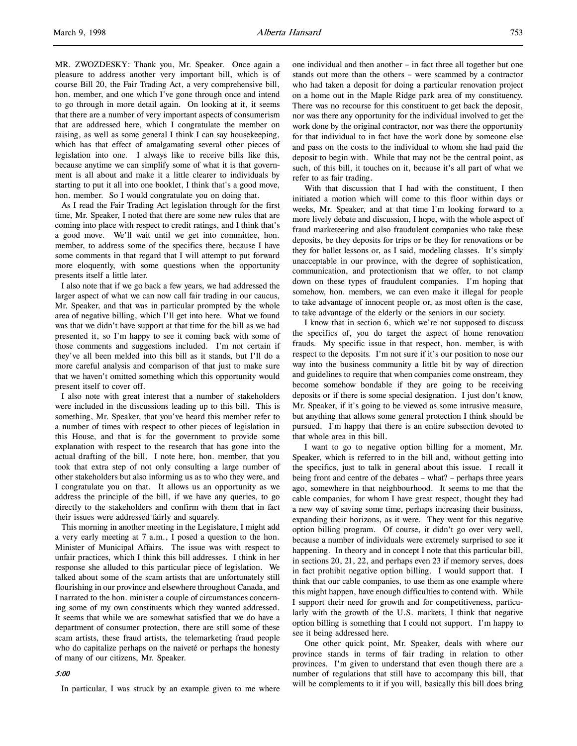MR. ZWOZDESKY: Thank you, Mr. Speaker. Once again a pleasure to address another very important bill, which is of course Bill 20, the Fair Trading Act, a very comprehensive bill, hon. member, and one which I've gone through once and intend to go through in more detail again. On looking at it, it seems that there are a number of very important aspects of consumerism that are addressed here, which I congratulate the member on raising, as well as some general I think I can say housekeeping, which has that effect of amalgamating several other pieces of legislation into one. I always like to receive bills like this, because anytime we can simplify some of what it is that government is all about and make it a little clearer to individuals by starting to put it all into one booklet, I think that's a good move, hon. member. So I would congratulate you on doing that.

As I read the Fair Trading Act legislation through for the first time, Mr. Speaker, I noted that there are some new rules that are coming into place with respect to credit ratings, and I think that's a good move. We'll wait until we get into committee, hon. member, to address some of the specifics there, because I have some comments in that regard that I will attempt to put forward more eloquently, with some questions when the opportunity presents itself a little later.

I also note that if we go back a few years, we had addressed the larger aspect of what we can now call fair trading in our caucus, Mr. Speaker, and that was in particular prompted by the whole area of negative billing, which I'll get into here. What we found was that we didn't have support at that time for the bill as we had presented it, so I'm happy to see it coming back with some of those comments and suggestions included. I'm not certain if they've all been melded into this bill as it stands, but I'll do a more careful analysis and comparison of that just to make sure that we haven't omitted something which this opportunity would present itself to cover off.

I also note with great interest that a number of stakeholders were included in the discussions leading up to this bill. This is something, Mr. Speaker, that you've heard this member refer to a number of times with respect to other pieces of legislation in this House, and that is for the government to provide some explanation with respect to the research that has gone into the actual drafting of the bill. I note here, hon. member, that you took that extra step of not only consulting a large number of other stakeholders but also informing us as to who they were, and I congratulate you on that. It allows us an opportunity as we address the principle of the bill, if we have any queries, to go directly to the stakeholders and confirm with them that in fact their issues were addressed fairly and squarely.

This morning in another meeting in the Legislature, I might add a very early meeting at 7 a.m., I posed a question to the hon. Minister of Municipal Affairs. The issue was with respect to unfair practices, which I think this bill addresses. I think in her response she alluded to this particular piece of legislation. We talked about some of the scam artists that are unfortunately still flourishing in our province and elsewhere throughout Canada, and I narrated to the hon. minister a couple of circumstances concerning some of my own constituents which they wanted addressed. It seems that while we are somewhat satisfied that we do have a department of consumer protection, there are still some of these scam artists, these fraud artists, the telemarketing fraud people who do capitalize perhaps on the naiveté or perhaps the honesty of many of our citizens, Mr. Speaker.

# 5:00

In particular, I was struck by an example given to me where

one individual and then another – in fact three all together but one stands out more than the others – were scammed by a contractor who had taken a deposit for doing a particular renovation project on a home out in the Maple Ridge park area of my constituency. There was no recourse for this constituent to get back the deposit, nor was there any opportunity for the individual involved to get the work done by the original contractor, nor was there the opportunity for that individual to in fact have the work done by someone else and pass on the costs to the individual to whom she had paid the deposit to begin with. While that may not be the central point, as such, of this bill, it touches on it, because it's all part of what we refer to as fair trading.

With that discussion that I had with the constituent, I then initiated a motion which will come to this floor within days or weeks, Mr. Speaker, and at that time I'm looking forward to a more lively debate and discussion, I hope, with the whole aspect of fraud marketeering and also fraudulent companies who take these deposits, be they deposits for trips or be they for renovations or be they for ballet lessons or, as I said, modeling classes. It's simply unacceptable in our province, with the degree of sophistication, communication, and protectionism that we offer, to not clamp down on these types of fraudulent companies. I'm hoping that somehow, hon. members, we can even make it illegal for people to take advantage of innocent people or, as most often is the case, to take advantage of the elderly or the seniors in our society.

I know that in section 6, which we're not supposed to discuss the specifics of, you do target the aspect of home renovation frauds. My specific issue in that respect, hon. member, is with respect to the deposits. I'm not sure if it's our position to nose our way into the business community a little bit by way of direction and guidelines to require that when companies come onstream, they become somehow bondable if they are going to be receiving deposits or if there is some special designation. I just don't know, Mr. Speaker, if it's going to be viewed as some intrusive measure, but anything that allows some general protection I think should be pursued. I'm happy that there is an entire subsection devoted to that whole area in this bill.

I want to go to negative option billing for a moment, Mr. Speaker, which is referred to in the bill and, without getting into the specifics, just to talk in general about this issue. I recall it being front and centre of the debates – what? – perhaps three years ago, somewhere in that neighbourhood. It seems to me that the cable companies, for whom I have great respect, thought they had a new way of saving some time, perhaps increasing their business, expanding their horizons, as it were. They went for this negative option billing program. Of course, it didn't go over very well, because a number of individuals were extremely surprised to see it happening. In theory and in concept I note that this particular bill, in sections 20, 21, 22, and perhaps even 23 if memory serves, does in fact prohibit negative option billing. I would support that. I think that our cable companies, to use them as one example where this might happen, have enough difficulties to contend with. While I support their need for growth and for competitiveness, particularly with the growth of the U.S. markets, I think that negative option billing is something that I could not support. I'm happy to see it being addressed here.

One other quick point, Mr. Speaker, deals with where our province stands in terms of fair trading in relation to other provinces. I'm given to understand that even though there are a number of regulations that still have to accompany this bill, that will be complements to it if you will, basically this bill does bring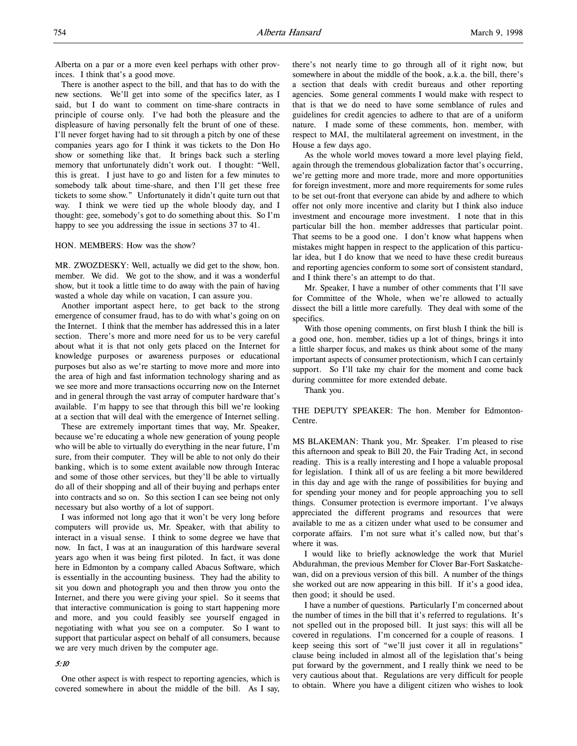Alberta on a par or a more even keel perhaps with other provinces. I think that's a good move.

There is another aspect to the bill, and that has to do with the new sections. We'll get into some of the specifics later, as I said, but I do want to comment on time-share contracts in principle of course only. I've had both the pleasure and the displeasure of having personally felt the brunt of one of these. I'll never forget having had to sit through a pitch by one of these companies years ago for I think it was tickets to the Don Ho show or something like that. It brings back such a sterling memory that unfortunately didn't work out. I thought: "Well, this is great. I just have to go and listen for a few minutes to somebody talk about time-share, and then I'll get these free tickets to some show." Unfortunately it didn't quite turn out that way. I think we were tied up the whole bloody day, and I thought: gee, somebody's got to do something about this. So I'm happy to see you addressing the issue in sections 37 to 41.

#### HON. MEMBERS: How was the show?

MR. ZWOZDESKY: Well, actually we did get to the show, hon. member. We did. We got to the show, and it was a wonderful show, but it took a little time to do away with the pain of having wasted a whole day while on vacation, I can assure you.

Another important aspect here, to get back to the strong emergence of consumer fraud, has to do with what's going on on the Internet. I think that the member has addressed this in a later section. There's more and more need for us to be very careful about what it is that not only gets placed on the Internet for knowledge purposes or awareness purposes or educational purposes but also as we're starting to move more and more into the area of high and fast information technology sharing and as we see more and more transactions occurring now on the Internet and in general through the vast array of computer hardware that's available. I'm happy to see that through this bill we're looking at a section that will deal with the emergence of Internet selling.

These are extremely important times that way, Mr. Speaker, because we're educating a whole new generation of young people who will be able to virtually do everything in the near future, I'm sure, from their computer. They will be able to not only do their banking, which is to some extent available now through Interac and some of those other services, but they'll be able to virtually do all of their shopping and all of their buying and perhaps enter into contracts and so on. So this section I can see being not only necessary but also worthy of a lot of support.

I was informed not long ago that it won't be very long before computers will provide us, Mr. Speaker, with that ability to interact in a visual sense. I think to some degree we have that now. In fact, I was at an inauguration of this hardware several years ago when it was being first piloted. In fact, it was done here in Edmonton by a company called Abacus Software, which is essentially in the accounting business. They had the ability to sit you down and photograph you and then throw you onto the Internet, and there you were giving your spiel. So it seems that that interactive communication is going to start happening more and more, and you could feasibly see yourself engaged in negotiating with what you see on a computer. So I want to support that particular aspect on behalf of all consumers, because we are very much driven by the computer age.

# 5:10

One other aspect is with respect to reporting agencies, which is covered somewhere in about the middle of the bill. As I say, there's not nearly time to go through all of it right now, but somewhere in about the middle of the book, a.k.a. the bill, there's a section that deals with credit bureaus and other reporting agencies. Some general comments I would make with respect to that is that we do need to have some semblance of rules and guidelines for credit agencies to adhere to that are of a uniform nature. I made some of these comments, hon. member, with respect to MAI, the multilateral agreement on investment, in the House a few days ago.

As the whole world moves toward a more level playing field, again through the tremendous globalization factor that's occurring, we're getting more and more trade, more and more opportunities for foreign investment, more and more requirements for some rules to be set out-front that everyone can abide by and adhere to which offer not only more incentive and clarity but I think also induce investment and encourage more investment. I note that in this particular bill the hon. member addresses that particular point. That seems to be a good one. I don't know what happens when mistakes might happen in respect to the application of this particular idea, but I do know that we need to have these credit bureaus and reporting agencies conform to some sort of consistent standard, and I think there's an attempt to do that.

Mr. Speaker, I have a number of other comments that I'll save for Committee of the Whole, when we're allowed to actually dissect the bill a little more carefully. They deal with some of the specifics.

With those opening comments, on first blush I think the bill is a good one, hon. member, tidies up a lot of things, brings it into a little sharper focus, and makes us think about some of the many important aspects of consumer protectionism, which I can certainly support. So I'll take my chair for the moment and come back during committee for more extended debate.

Thank you.

THE DEPUTY SPEAKER: The hon. Member for Edmonton-Centre.

MS BLAKEMAN: Thank you, Mr. Speaker. I'm pleased to rise this afternoon and speak to Bill 20, the Fair Trading Act, in second reading. This is a really interesting and I hope a valuable proposal for legislation. I think all of us are feeling a bit more bewildered in this day and age with the range of possibilities for buying and for spending your money and for people approaching you to sell things. Consumer protection is evermore important. I've always appreciated the different programs and resources that were available to me as a citizen under what used to be consumer and corporate affairs. I'm not sure what it's called now, but that's where it was.

I would like to briefly acknowledge the work that Muriel Abdurahman, the previous Member for Clover Bar-Fort Saskatchewan, did on a previous version of this bill. A number of the things she worked out are now appearing in this bill. If it's a good idea, then good; it should be used.

I have a number of questions. Particularly I'm concerned about the number of times in the bill that it's referred to regulations. It's not spelled out in the proposed bill. It just says: this will all be covered in regulations. I'm concerned for a couple of reasons. I keep seeing this sort of "we'll just cover it all in regulations" clause being included in almost all of the legislation that's being put forward by the government, and I really think we need to be very cautious about that. Regulations are very difficult for people to obtain. Where you have a diligent citizen who wishes to look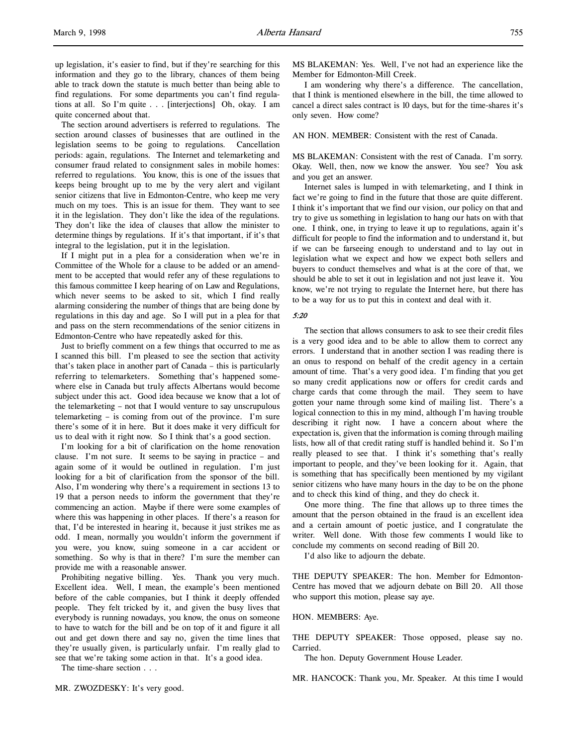The section around advertisers is referred to regulations. The section around classes of businesses that are outlined in the legislation seems to be going to regulations. Cancellation periods: again, regulations. The Internet and telemarketing and consumer fraud related to consignment sales in mobile homes: referred to regulations. You know, this is one of the issues that keeps being brought up to me by the very alert and vigilant senior citizens that live in Edmonton-Centre, who keep me very much on my toes. This is an issue for them. They want to see it in the legislation. They don't like the idea of the regulations. They don't like the idea of clauses that allow the minister to determine things by regulations. If it's that important, if it's that integral to the legislation, put it in the legislation.

If I might put in a plea for a consideration when we're in Committee of the Whole for a clause to be added or an amendment to be accepted that would refer any of these regulations to this famous committee I keep hearing of on Law and Regulations, which never seems to be asked to sit, which I find really alarming considering the number of things that are being done by regulations in this day and age. So I will put in a plea for that and pass on the stern recommendations of the senior citizens in Edmonton-Centre who have repeatedly asked for this.

Just to briefly comment on a few things that occurred to me as I scanned this bill. I'm pleased to see the section that activity that's taken place in another part of Canada – this is particularly referring to telemarketers. Something that's happened somewhere else in Canada but truly affects Albertans would become subject under this act. Good idea because we know that a lot of the telemarketing – not that I would venture to say unscrupulous telemarketing – is coming from out of the province. I'm sure there's some of it in here. But it does make it very difficult for us to deal with it right now. So I think that's a good section.

I'm looking for a bit of clarification on the home renovation clause. I'm not sure. It seems to be saying in practice – and again some of it would be outlined in regulation. I'm just looking for a bit of clarification from the sponsor of the bill. Also, I'm wondering why there's a requirement in sections 13 to 19 that a person needs to inform the government that they're commencing an action. Maybe if there were some examples of where this was happening in other places. If there's a reason for that, I'd be interested in hearing it, because it just strikes me as odd. I mean, normally you wouldn't inform the government if you were, you know, suing someone in a car accident or something. So why is that in there? I'm sure the member can provide me with a reasonable answer.

Prohibiting negative billing. Yes. Thank you very much. Excellent idea. Well, I mean, the example's been mentioned before of the cable companies, but I think it deeply offended people. They felt tricked by it, and given the busy lives that everybody is running nowadays, you know, the onus on someone to have to watch for the bill and be on top of it and figure it all out and get down there and say no, given the time lines that they're usually given, is particularly unfair. I'm really glad to see that we're taking some action in that. It's a good idea.

The time-share section . . .

MR. ZWOZDESKY: It's very good.

MS BLAKEMAN: Yes. Well, I've not had an experience like the Member for Edmonton-Mill Creek.

I am wondering why there's a difference. The cancellation, that I think is mentioned elsewhere in the bill, the time allowed to cancel a direct sales contract is 10 days, but for the time-shares it's only seven. How come?

AN HON. MEMBER: Consistent with the rest of Canada.

MS BLAKEMAN: Consistent with the rest of Canada. I'm sorry. Okay. Well, then, now we know the answer. You see? You ask and you get an answer.

Internet sales is lumped in with telemarketing, and I think in fact we're going to find in the future that those are quite different. I think it's important that we find our vision, our policy on that and try to give us something in legislation to hang our hats on with that one. I think, one, in trying to leave it up to regulations, again it's difficult for people to find the information and to understand it, but if we can be farseeing enough to understand and to lay out in legislation what we expect and how we expect both sellers and buyers to conduct themselves and what is at the core of that, we should be able to set it out in legislation and not just leave it. You know, we're not trying to regulate the Internet here, but there has to be a way for us to put this in context and deal with it.

# 5:20

The section that allows consumers to ask to see their credit files is a very good idea and to be able to allow them to correct any errors. I understand that in another section I was reading there is an onus to respond on behalf of the credit agency in a certain amount of time. That's a very good idea. I'm finding that you get so many credit applications now or offers for credit cards and charge cards that come through the mail. They seem to have gotten your name through some kind of mailing list. There's a logical connection to this in my mind, although I'm having trouble describing it right now. I have a concern about where the expectation is, given that the information is coming through mailing lists, how all of that credit rating stuff is handled behind it. So I'm really pleased to see that. I think it's something that's really important to people, and they've been looking for it. Again, that is something that has specifically been mentioned by my vigilant senior citizens who have many hours in the day to be on the phone and to check this kind of thing, and they do check it.

One more thing. The fine that allows up to three times the amount that the person obtained in the fraud is an excellent idea and a certain amount of poetic justice, and I congratulate the writer. Well done. With those few comments I would like to conclude my comments on second reading of Bill 20.

I'd also like to adjourn the debate.

THE DEPUTY SPEAKER: The hon. Member for Edmonton-Centre has moved that we adjourn debate on Bill 20. All those who support this motion, please say aye.

# HON. MEMBERS: Aye.

THE DEPUTY SPEAKER: Those opposed, please say no. Carried.

The hon. Deputy Government House Leader.

MR. HANCOCK: Thank you, Mr. Speaker. At this time I would